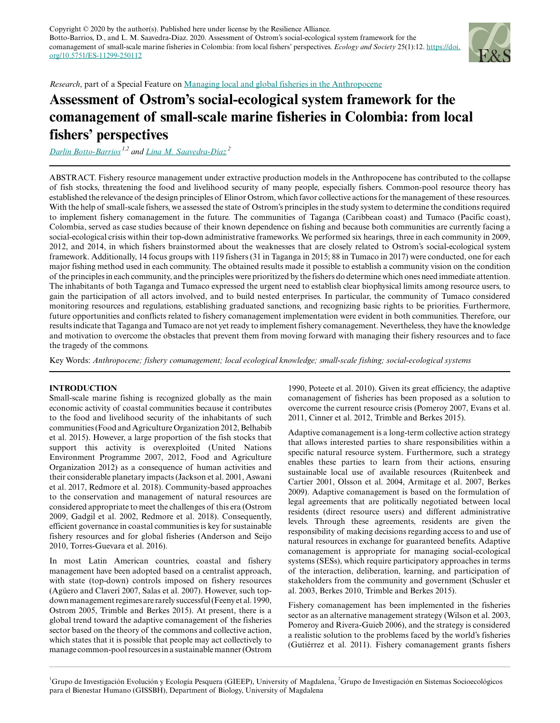

*Research*, part of a Special Feature on [Managing local and global fisheries in the Anthropocene](https://www.ecologyandsociety.org/viewissue.php?sf=137)

# **Assessment of Ostrom's social-ecological system framework for the comanagement of small-scale marine fisheries in Colombia: from local fishers' perspectives**

*[Darlin Botto-Barrios](mailto:dpbottob@unal.edu.co) 1,2 and [Lina M. Saavedra-Díaz](mailto:lsaavedra@unimagdalena.edu.co)<sup>2</sup>*

ABSTRACT. Fishery resource management under extractive production models in the Anthropocene has contributed to the collapse of fish stocks, threatening the food and livelihood security of many people, especially fishers. Common-pool resource theory has established the relevance of the design principles of Elinor Ostrom, which favor collective actions for the management of these resources. With the help of small-scale fishers, we assessed the state of Ostrom's principles in the study system to determine the conditions required to implement fishery comanagement in the future. The communities of Taganga (Caribbean coast) and Tumaco (Pacific coast), Colombia, served as case studies because of their known dependence on fishing and because both communities are currently facing a social-ecological crisis within their top-down administrative frameworks. We performed six hearings, three in each community in 2009, 2012, and 2014, in which fishers brainstormed about the weaknesses that are closely related to Ostrom's social-ecological system framework. Additionally, 14 focus groups with 119 fishers (31 in Taganga in 2015; 88 in Tumaco in 2017) were conducted, one for each major fishing method used in each community. The obtained results made it possible to establish a community vision on the condition of the principles in each community, and the principles were prioritized by the fishers do determine which ones need immediate attention. The inhabitants of both Taganga and Tumaco expressed the urgent need to establish clear biophysical limits among resource users, to gain the participation of all actors involved, and to build nested enterprises. In particular, the community of Tumaco considered monitoring resources and regulations, establishing graduated sanctions, and recognizing basic rights to be priorities. Furthermore, future opportunities and conflicts related to fishery comanagement implementation were evident in both communities. Therefore, our results indicate that Taganga and Tumaco are not yet ready to implement fishery comanagement. Nevertheless, they have the knowledge and motivation to overcome the obstacles that prevent them from moving forward with managing their fishery resources and to face the tragedy of the commons.

Key Words: *Anthropocene; fishery comanagement; local ecological knowledge; small-scale fishing; social-ecological systems*

# **INTRODUCTION**

Small-scale marine fishing is recognized globally as the main economic activity of coastal communities because it contributes to the food and livelihood security of the inhabitants of such communities (Food and Agriculture Organization 2012, Belhabib et al. 2015). However, a large proportion of the fish stocks that support this activity is overexploited (United Nations Environment Programme 2007, 2012, Food and Agriculture Organization 2012) as a consequence of human activities and their considerable planetary impacts (Jackson et al. 2001, Aswani et al. 2017, Redmore et al. 2018). Community-based approaches to the conservation and management of natural resources are considered appropriate to meet the challenges of this era (Ostrom 2009, Gadgil et al. 2002, Redmore et al. 2018). Consequently, efficient governance in coastal communities is key for sustainable fishery resources and for global fisheries (Anderson and Seijo 2010, Torres-Guevara et al. 2016).

In most Latin American countries, coastal and fishery management have been adopted based on a centralist approach, with state (top-down) controls imposed on fishery resources (Agüero and Claverí 2007, Salas et al. 2007). However, such topdown management regimes are rarely successful (Feeny et al. 1990, Ostrom 2005, Trimble and Berkes 2015). At present, there is a global trend toward the adaptive comanagement of the fisheries sector based on the theory of the commons and collective action, which states that it is possible that people may act collectively to manage common-pool resources in a sustainable manner (Ostrom

1990, Poteete et al. 2010). Given its great efficiency, the adaptive comanagement of fisheries has been proposed as a solution to overcome the current resource crisis (Pomeroy 2007, Evans et al. 2011, Cinner et al. 2012, Trimble and Berkes 2015).

Adaptive comanagement is a long-term collective action strategy that allows interested parties to share responsibilities within a specific natural resource system. Furthermore, such a strategy enables these parties to learn from their actions, ensuring sustainable local use of available resources (Ruitenbeek and Cartier 2001, Olsson et al. 2004, Armitage et al. 2007, Berkes 2009). Adaptive comanagement is based on the formulation of legal agreements that are politically negotiated between local residents (direct resource users) and different administrative levels. Through these agreements, residents are given the responsibility of making decisions regarding access to and use of natural resources in exchange for guaranteed benefits. Adaptive comanagement is appropriate for managing social-ecological systems (SESs), which require participatory approaches in terms of the interaction, deliberation, learning, and participation of stakeholders from the community and government (Schusler et al. 2003, Berkes 2010, Trimble and Berkes 2015).

Fishery comanagement has been implemented in the fisheries sector as an alternative management strategy (Wilson et al. 2003, Pomeroy and Rivera-Guieb 2006), and the strategy is considered a realistic solution to the problems faced by the world's fisheries (Gutiérrez et al. 2011). Fishery comanagement grants fishers

<sup>1</sup>Grupo de Investigación Evolución y Ecología Pesquera (GIEEP), University of Magdalena, <sup>2</sup>Grupo de Investigación en Sistemas Socioecológicos para el Bienestar Humano (GISSBH), Department of Biology, University of Magdalena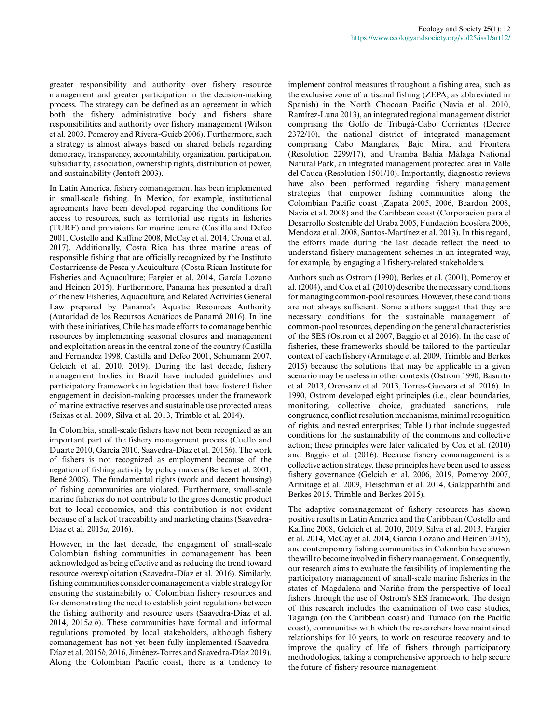greater responsibility and authority over fishery resource management and greater participation in the decision-making process. The strategy can be defined as an agreement in which both the fishery administrative body and fishers share responsibilities and authority over fishery management (Wilson et al. 2003, Pomeroy and Rivera-Guieb 2006). Furthermore, such a strategy is almost always based on shared beliefs regarding democracy, transparency, accountability, organization, participation, subsidiarity, association, ownership rights, distribution of power, and sustainability (Jentoft 2003).

In Latin America, fishery comanagement has been implemented in small-scale fishing. In Mexico, for example, institutional agreements have been developed regarding the conditions for access to resources, such as territorial use rights in fisheries (TURF) and provisions for marine tenure (Castilla and Defeo 2001, Costello and Kaffine 2008, McCay et al. 2014, Crona et al. 2017). Additionally, Costa Rica has three marine areas of responsible fishing that are officially recognized by the Instituto Costarricense de Pesca y Acuicultura (Costa Rican Institute for Fisheries and Aquaculture; Fargier et al. 2014, García Lozano and Heinen 2015). Furthermore, Panama has presented a draft of the new Fisheries, Aquaculture, and Related Activities General Law prepared by Panama's Aquatic Resources Authority (Autoridad de los Recursos Acuáticos de Panamá 2016). In line with these initiatives, Chile has made efforts to comanage benthic resources by implementing seasonal closures and management and exploitation areas in the central zone of the country (Castilla and Fernandez 1998, Castilla and Defeo 2001, Schumann 2007, Gelcich et al. 2010, 2019). During the last decade, fishery management bodies in Brazil have included guidelines and participatory frameworks in legislation that have fostered fisher engagement in decision-making processes under the framework of marine extractive reserves and sustainable use protected areas (Seixas et al. 2009, Silva et al. 2013, Trimble et al. 2014).

In Colombia, small-scale fishers have not been recognized as an important part of the fishery management process (Cuello and Duarte 2010, García 2010, Saavedra-Díaz et al. 2015*b*). The work of fishers is not recognized as employment because of the negation of fishing activity by policy makers (Berkes et al. 2001, Bené 2006). The fundamental rights (work and decent housing) of fishing communities are violated. Furthermore, small-scale marine fisheries do not contribute to the gross domestic product but to local economies, and this contribution is not evident because of a lack of traceability and marketing chains (Saavedra-Díaz et al. 2015*a,* 2016).

However, in the last decade, the engagment of small-scale Colombian fishing communities in comanagement has been acknowledged as being effective and as reducing the trend toward resource overexploitation (Saavedra-Díaz et al. 2016). Similarly, fishing communities consider comanagement a viable strategy for ensuring the sustainability of Colombian fishery resources and for demonstrating the need to establish joint regulations between the fishing authority and resource users (Saavedra-Díaz et al. 2014, 2015*a,b*). These communities have formal and informal regulations promoted by local stakeholders, although fishery comanagement has not yet been fully implemented (Saavedra-Díaz et al. 2015*b,* 2016, Jiménez-Torres and Saavedra-Díaz 2019). Along the Colombian Pacific coast, there is a tendency to implement control measures throughout a fishing area, such as the exclusive zone of artisanal fishing (ZEPA, as abbreviated in Spanish) in the North Chocoan Pacific (Navia et al. 2010, Ramírez-Luna 2013), an integrated regional management district comprising the Golfo de Tribugá-Cabo Corrientes (Decree 2372/10), the national district of integrated management comprising Cabo Manglares, Bajo Mira, and Frontera (Resolution 2299/17), and Uramba Bahía Málaga National Natural Park, an integrated management protected area in Valle del Cauca (Resolution 1501/10). Importantly, diagnostic reviews have also been performed regarding fishery management strategies that empower fishing communities along the Colombian Pacific coast (Zapata 2005, 2006, Beardon 2008, Navia et al. 2008) and the Caribbean coast (Corporación para el Desarrollo Sostenible del Urabá 2005, Fundación Ecosfera 2006, Mendoza et al. 2008, Santos-Martínez et al. 2013). In this regard, the efforts made during the last decade reflect the need to understand fishery management schemes in an integrated way, for example, by engaging all fishery-related stakeholders.

Authors such as Ostrom (1990), Berkes et al. (2001), Pomeroy et al. (2004), and Cox et al. (2010) describe the necessary conditions for managing common-pool resources. However, these conditions are not always sufficient. Some authors suggest that they are necessary conditions for the sustainable management of common-pool resources, depending on the general characteristics of the SES (Ostrom et al 2007, Baggio et al 2016). In the case of fisheries, these frameworks should be tailored to the particular context of each fishery (Armitage et al. 2009, Trimble and Berkes 2015) because the solutions that may be applicable in a given scenario may be useless in other contexts (Ostrom 1990, Basurto et al. 2013, Orensanz et al. 2013, Torres-Guevara et al. 2016). In 1990, Ostrom developed eight principles (i.e., clear boundaries, monitoring, collective choice, graduated sanctions, rule congruence, conflict resolution mechanisms, minimal recognition of rights, and nested enterprises; Table 1) that include suggested conditions for the sustainability of the commons and collective action; these principles were later validated by Cox et al. (2010) and Baggio et al. (2016). Because fishery comanagement is a collective action strategy, these principles have been used to assess fishery governance (Gelcich et al. 2006, 2019, Pomeroy 2007, Armitage et al. 2009, Fleischman et al. 2014, Galappaththi and Berkes 2015, Trimble and Berkes 2015).

The adaptive comanagement of fishery resources has shown positive results in Latin America and the Caribbean (Costello and Kaffine 2008, Gelcich et al. 2010, 2019, Silva et al. 2013, Fargier et al. 2014, McCay et al. 2014, García Lozano and Heinen 2015), and contemporary fishing communities in Colombia have shown the will to become involved in fishery management. Consequently, our research aims to evaluate the feasibility of implementing the participatory management of small-scale marine fisheries in the states of Magdalena and Nariño from the perspective of local fishers through the use of Ostrom's SES framework. The design of this research includes the examination of two case studies, Taganga (on the Caribbean coast) and Tumaco (on the Pacific coast), communities with which the researchers have maintained relationships for 10 years, to work on resource recovery and to improve the quality of life of fishers through participatory methodologies, taking a comprehensive approach to help secure the future of fishery resource management.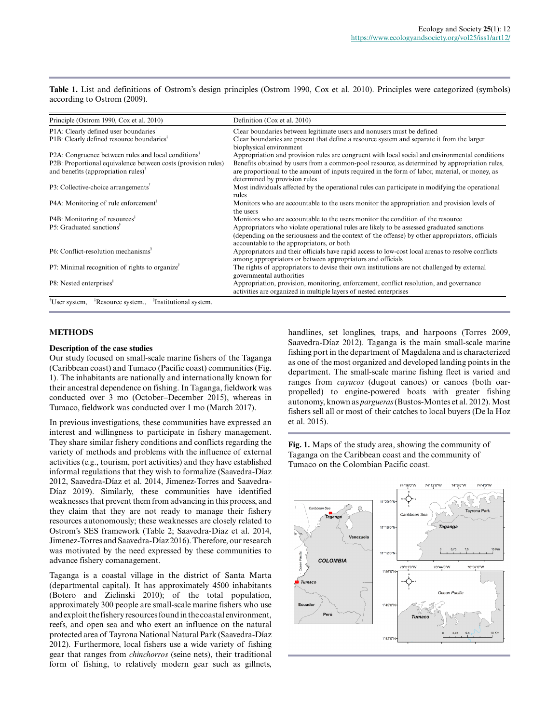**Table 1.** List and definitions of Ostrom's design principles (Ostrom 1990, Cox et al. 2010). Principles were categorized (symbols) according to Ostrom (2009).

| Definition (Cox et al. 2010)                                                                                                                                                                                                              |
|-------------------------------------------------------------------------------------------------------------------------------------------------------------------------------------------------------------------------------------------|
| Clear boundaries between legitimate users and nonusers must be defined                                                                                                                                                                    |
| Clear boundaries are present that define a resource system and separate it from the larger<br>biophysical environment                                                                                                                     |
| Appropriation and provision rules are congruent with local social and environmental conditions                                                                                                                                            |
| Benefits obtained by users from a common-pool resource, as determined by appropriation rules,                                                                                                                                             |
| are proportional to the amount of inputs required in the form of labor, material, or money, as<br>determined by provision rules                                                                                                           |
| Most individuals affected by the operational rules can participate in modifying the operational<br>rules                                                                                                                                  |
| Monitors who are accountable to the users monitor the appropriation and provision levels of<br>the users                                                                                                                                  |
| Monitors who are accountable to the users monitor the condition of the resource                                                                                                                                                           |
| Appropriators who violate operational rules are likely to be assessed graduated sanctions<br>(depending on the seriousness and the context of the offense) by other appropriators, officials<br>accountable to the appropriators, or both |
| Appropriators and their officials have rapid access to low-cost local arenas to resolve conflicts<br>among appropriators or between appropriators and officials                                                                           |
| The rights of appropriators to devise their own institutions are not challenged by external<br>governmental authorities                                                                                                                   |
| Appropriation, provision, monitoring, enforcement, conflict resolution, and governance<br>activities are organized in multiple layers of nested enterprises                                                                               |
|                                                                                                                                                                                                                                           |

# **METHODS**

#### **Description of the case studies**

Our study focused on small-scale marine fishers of the Taganga (Caribbean coast) and Tumaco (Pacific coast) communities (Fig. 1). The inhabitants are nationally and internationally known for their ancestral dependence on fishing. In Taganga, fieldwork was conducted over 3 mo (October–December 2015), whereas in Tumaco, fieldwork was conducted over 1 mo (March 2017).

In previous investigations, these communities have expressed an interest and willingness to participate in fishery management. They share similar fishery conditions and conflicts regarding the variety of methods and problems with the influence of external activities (e.g., tourism, port activities) and they have established informal regulations that they wish to formalize (Saavedra-Díaz 2012, Saavedra-Díaz et al. 2014, Jimenez-Torres and Saavedra-Díaz 2019). Similarly, these communities have identified weaknesses that prevent them from advancing in this process, and they claim that they are not ready to manage their fishery resources autonomously; these weaknesses are closely related to Ostrom's SES framework (Table 2; Saavedra-Díaz et al. 2014, Jimenez-Torres and Saavedra-Díaz 2016). Therefore, our research was motivated by the need expressed by these communities to advance fishery comanagement.

Taganga is a coastal village in the district of Santa Marta (departmental capital). It has approximately 4500 inhabitants (Botero and Zielinski 2010); of the total population, approximately 300 people are small-scale marine fishers who use and exploit the fishery resources found in the coastal environment, reefs, and open sea and who exert an influence on the natural protected area of Tayrona National Natural Park (Saavedra-Díaz 2012). Furthermore, local fishers use a wide variety of fishing gear that ranges from *chinchorros* (seine nets), their traditional form of fishing, to relatively modern gear such as gillnets,

handlines, set longlines, traps, and harpoons (Torres 2009, Saavedra-Díaz 2012). Taganga is the main small-scale marine fishing port in the department of Magdalena and is characterized as one of the most organized and developed landing points in the department. The small-scale marine fishing fleet is varied and ranges from *cayucos* (dugout canoes) or canoes (both oarpropelled) to engine-powered boats with greater fishing autonomy, known as *pargueras* (Bustos-Montes et al. 2012). Most fishers sell all or most of their catches to local buyers (De la Hoz et al. 2015).

**Fig. 1.** Maps of the study area, showing the community of Taganga on the Caribbean coast and the community of Tumaco on the Colombian Pacific coast.

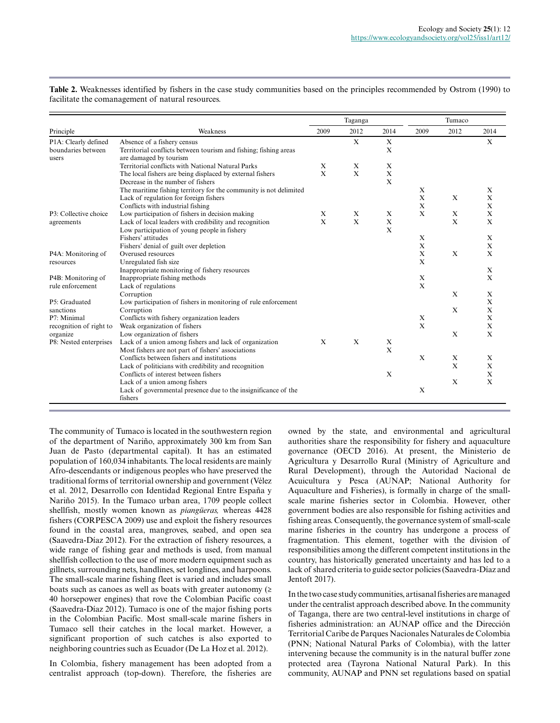|                         |                                                                   |              | Taganga     |              |              | Tumaco      |              |
|-------------------------|-------------------------------------------------------------------|--------------|-------------|--------------|--------------|-------------|--------------|
| Principle               | Weakness                                                          | 2009         | 2012        | 2014         | 2009         | 2012        | 2014         |
| P1A: Clearly defined    | Absence of a fishery census                                       |              | X           | X            |              |             | X            |
| boundaries between      | Territorial conflicts between tourism and fishing; fishing areas  |              |             | X            |              |             |              |
| users                   | are damaged by tourism                                            |              |             |              |              |             |              |
|                         | Territorial conflicts with National Natural Parks                 | X            | X           | X            |              |             |              |
|                         | The local fishers are being displaced by external fishers         | $\mathbf x$  | X           | X            |              |             |              |
|                         | Decrease in the number of fishers                                 |              |             | $\mathbf{x}$ |              |             |              |
|                         | The maritime fishing territory for the community is not delimited |              |             |              | X            |             | X            |
|                         | Lack of regulation for foreign fishers                            |              |             |              | X            | X           | $\mathbf X$  |
|                         | Conflicts with industrial fishing                                 |              |             |              | X            |             | X            |
| P3: Collective choice   | Low participation of fishers in decision making                   | $\mathbf x$  | X           | X            | X            | $\mathbf X$ | X            |
| agreements              | Lack of local leaders with credibility and recognition            | $\mathbf{X}$ | $\mathbf X$ | X            |              | X           | X            |
|                         | Low participation of young people in fishery                      |              |             | $\mathbf{x}$ |              |             |              |
|                         | Fishers' attitudes                                                |              |             |              | X            |             | X            |
|                         | Fishers' denial of guilt over depletion                           |              |             |              | $\mathbf X$  |             | $\mathbf X$  |
| P4A: Monitoring of      | Overused resources                                                |              |             |              | X            | X           | $\mathbf{X}$ |
| resources               | Unregulated fish size                                             |              |             |              | X            |             |              |
|                         | Inappropriate monitoring of fishery resources                     |              |             |              |              |             | X            |
| P4B: Monitoring of      | Inappropriate fishing methods                                     |              |             |              | $\mathbf X$  |             | X            |
| rule enforcement        | Lack of regulations                                               |              |             |              | X            |             |              |
|                         | Corruption                                                        |              |             |              |              | $\mathbf X$ | X            |
| P5: Graduated           | Low participation of fishers in monitoring of rule enforcement    |              |             |              |              |             | $\mathbf X$  |
| sanctions               | Corruption                                                        |              |             |              |              | X           | X            |
| P7: Minimal             | Conflicts with fishery organization leaders                       |              |             |              | X            |             | $\bf{X}$     |
| recognition of right to | Weak organization of fishers                                      |              |             |              | X            |             | $\mathbf X$  |
| organize                | Low organization of fishers                                       |              |             |              |              | X           | $\mathbf{x}$ |
| P8: Nested enterprises  | Lack of a union among fishers and lack of organization            | $\mathbf{x}$ | X           | X            |              |             |              |
|                         | Most fishers are not part of fishers' associations                |              |             | $\mathbf{x}$ |              |             |              |
|                         | Conflicts between fishers and institutions                        |              |             |              | $\mathbf{x}$ | $\mathbf X$ | $\mathbf{x}$ |
|                         | Lack of politicians with credibility and recognition              |              |             |              |              | X           | X            |
|                         | Conflicts of interest between fishers                             |              |             | $\mathbf X$  |              |             | $\mathbf X$  |
|                         | Lack of a union among fishers                                     |              |             |              |              | $\mathbf X$ | X            |
|                         | Lack of governmental presence due to the insignificance of the    |              |             |              | X            |             |              |
|                         | fishers                                                           |              |             |              |              |             |              |

**Table 2.** Weaknesses identified by fishers in the case study communities based on the principles recommended by Ostrom (1990) to facilitate the comanagement of natural resources.

The community of Tumaco is located in the southwestern region of the department of Nariño, approximately 300 km from San Juan de Pasto (departmental capital). It has an estimated population of 160,034 inhabitants. The local residents are mainly Afro-descendants or indigenous peoples who have preserved the traditional forms of territorial ownership and government (Vélez et al. 2012, Desarrollo con Identidad Regional Entre España y Nariño 2015). In the Tumaco urban area, 1709 people collect shellfish, mostly women known as *piangüeras,* whereas 4428 fishers (CORPESCA 2009) use and exploit the fishery resources found in the coastal area, mangroves, seabed, and open sea (Saavedra-Díaz 2012). For the extraction of fishery resources, a wide range of fishing gear and methods is used, from manual shellfish collection to the use of more modern equipment such as gillnets, surrounding nets, handlines, set longlines, and harpoons. The small-scale marine fishing fleet is varied and includes small boats such as canoes as well as boats with greater autonomy  $(≥$ 40 horsepower engines) that rove the Colombian Pacific coast (Saavedra-Díaz 2012). Tumaco is one of the major fishing ports in the Colombian Pacific. Most small-scale marine fishers in Tumaco sell their catches in the local market. However, a significant proportion of such catches is also exported to neighboring countries such as Ecuador (De La Hoz et al. 2012).

In Colombia, fishery management has been adopted from a centralist approach (top-down). Therefore, the fisheries are owned by the state, and environmental and agricultural authorities share the responsibility for fishery and aquaculture governance (OECD 2016). At present, the Ministerio de Agricultura y Desarrollo Rural (Ministry of Agriculture and Rural Development), through the Autoridad Nacional de Acuicultura y Pesca (AUNAP; National Authority for Aquaculture and Fisheries), is formally in charge of the smallscale marine fisheries sector in Colombia. However, other government bodies are also responsible for fishing activities and fishing areas. Consequently, the governance system of small-scale marine fisheries in the country has undergone a process of fragmentation. This element, together with the division of responsibilities among the different competent institutions in the country, has historically generated uncertainty and has led to a lack of shared criteria to guide sector policies (Saavedra-Díaz and Jentoft 2017).

In the two case study communities, artisanal fisheries are managed under the centralist approach described above. In the community of Taganga, there are two central-level institutions in charge of fisheries administration: an AUNAP office and the Dirección Territorial Caribe de Parques Nacionales Naturales de Colombia (PNN; National Natural Parks of Colombia), with the latter intervening because the community is in the natural buffer zone protected area (Tayrona National Natural Park). In this community, AUNAP and PNN set regulations based on spatial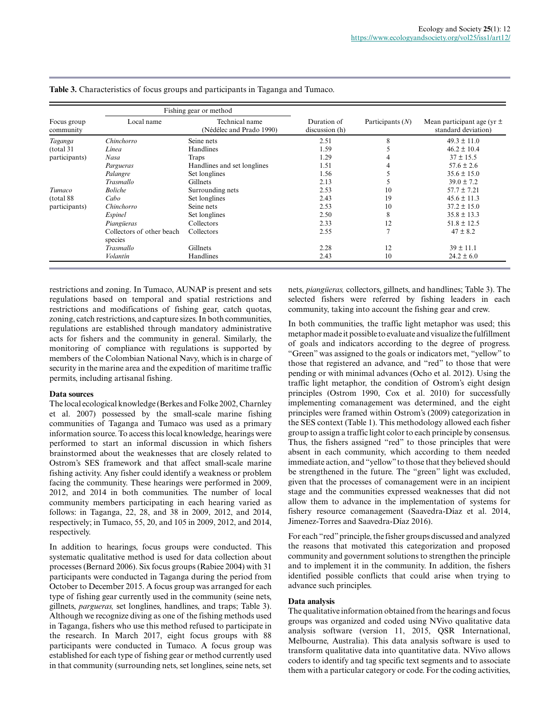|                          | Fishing gear or method               |                                            |                               |                    |                                                       |  |
|--------------------------|--------------------------------------|--------------------------------------------|-------------------------------|--------------------|-------------------------------------------------------|--|
| Focus group<br>community | Local name                           | Technical name<br>(Nédélec and Prado 1990) | Duration of<br>discussion (h) | Participants $(N)$ | Mean participant age (yr $\pm$<br>standard deviation) |  |
| Taganga                  | Chinchorro                           | Seine nets                                 | 2.51                          | 8                  | $49.3 \pm 11.0$                                       |  |
| (total 31)               | Línea                                | Handlines                                  | 1.59                          |                    | $46.2 \pm 10.4$                                       |  |
| participants)            | Nasa                                 | Traps                                      | 1.29                          |                    | $37 \pm 15.5$                                         |  |
|                          | Pargueras                            | Handlines and set longlines                | 1.51                          |                    | $57.6 \pm 2.6$                                        |  |
|                          | Palangre                             | Set longlines                              | 1.56                          |                    | $35.6 \pm 15.0$                                       |  |
|                          | Trasmallo                            | <b>Gillnets</b>                            | 2.13                          |                    | $39.0 \pm 7.2$                                        |  |
| Tumaco                   | <b>Boliche</b>                       | Surrounding nets                           | 2.53                          | 10                 | $57.7 \pm 7.21$                                       |  |
| (total 88)               | Cabo                                 | Set longlines                              | 2.43                          | 19                 | $45.6 \pm 11.3$                                       |  |
| participants)            | Chinchorro                           | Seine nets                                 | 2.53                          | 10                 | $37.2 \pm 15.0$                                       |  |
|                          | Espinel                              | Set longlines                              | 2.50                          | 8                  | $35.8 \pm 13.3$                                       |  |
|                          | Piangüeras                           | Collectors                                 | 2.33                          | 12                 | $51.8 \pm 12.5$                                       |  |
|                          | Collectors of other beach<br>species | Collectors                                 | 2.55                          |                    | $47 \pm 8.2$                                          |  |
|                          | Trasmallo                            | <b>Gillnets</b>                            | 2.28                          | 12                 | $39 \pm 11.1$                                         |  |
|                          | Volantín                             | Handlines                                  | 2.43                          | 10                 | $24.2 \pm 6.0$                                        |  |

# **Table 3.** Characteristics of focus groups and participants in Taganga and Tumaco.

restrictions and zoning. In Tumaco, AUNAP is present and sets regulations based on temporal and spatial restrictions and restrictions and modifications of fishing gear, catch quotas, zoning, catch restrictions, and capture sizes. In both communities, regulations are established through mandatory administrative acts for fishers and the community in general. Similarly, the monitoring of compliance with regulations is supported by members of the Colombian National Navy, which is in charge of security in the marine area and the expedition of maritime traffic permits, including artisanal fishing.

# **Data sources**

The local ecological knowledge (Berkes and Folke 2002, Charnley et al. 2007) possessed by the small-scale marine fishing communities of Taganga and Tumaco was used as a primary information source. To access this local knowledge, hearings were performed to start an informal discussion in which fishers brainstormed about the weaknesses that are closely related to Ostrom's SES framework and that affect small-scale marine fishing activity. Any fisher could identify a weakness or problem facing the community. These hearings were performed in 2009, 2012, and 2014 in both communities. The number of local community members participating in each hearing varied as follows: in Taganga, 22, 28, and 38 in 2009, 2012, and 2014, respectively; in Tumaco, 55, 20, and 105 in 2009, 2012, and 2014, respectively.

In addition to hearings, focus groups were conducted. This systematic qualitative method is used for data collection about processes (Bernard 2006). Six focus groups (Rabiee 2004) with 31 participants were conducted in Taganga during the period from October to December 2015. A focus group was arranged for each type of fishing gear currently used in the community (seine nets, gillnets, *pargueras,* set longlines, handlines, and traps; Table 3). Although we recognize diving as one of the fishing methods used in Taganga, fishers who use this method refused to participate in the research. In March 2017, eight focus groups with 88 participants were conducted in Tumaco. A focus group was established for each type of fishing gear or method currently used in that community (surrounding nets, set longlines, seine nets, set

nets, *piangüeras,* collectors, gillnets, and handlines; Table 3). The selected fishers were referred by fishing leaders in each community, taking into account the fishing gear and crew.

In both communities, the traffic light metaphor was used; this metaphor made it possible to evaluate and visualize the fulfillment of goals and indicators according to the degree of progress. "Green" was assigned to the goals or indicators met, "yellow" to those that registered an advance, and "red" to those that were pending or with minimal advances (Ocho et al. 2012). Using the traffic light metaphor, the condition of Ostrom's eight design principles (Ostrom 1990, Cox et al. 2010) for successfully implementing comanagement was determined, and the eight principles were framed within Ostrom's (2009) categorization in the SES context (Table 1). This methodology allowed each fisher group to assign a traffic light color to each principle by consensus. Thus, the fishers assigned "red" to those principles that were absent in each community, which according to them needed immediate action, and "yellow" to those that they believed should be strengthened in the future. The "green" light was excluded, given that the processes of comanagement were in an incipient stage and the communities expressed weaknesses that did not allow them to advance in the implementation of systems for fishery resource comanagement (Saavedra-Díaz et al. 2014, Jimenez-Torres and Saavedra-Díaz 2016).

For each "red" principle, the fisher groups discussed and analyzed the reasons that motivated this categorization and proposed community and government solutions to strengthen the principle and to implement it in the community. In addition, the fishers identified possible conflicts that could arise when trying to advance such principles.

# **Data analysis**

The qualitative information obtained from the hearings and focus groups was organized and coded using NVivo qualitative data analysis software (version 11, 2015, QSR International, Melbourne, Australia). This data analysis software is used to transform qualitative data into quantitative data. NVivo allows coders to identify and tag specific text segments and to associate them with a particular category or code. For the coding activities,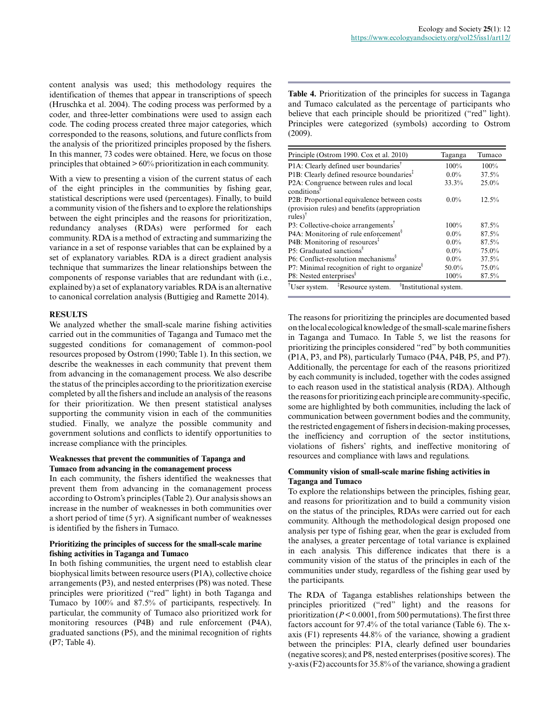content analysis was used; this methodology requires the identification of themes that appear in transcriptions of speech (Hruschka et al. 2004). The coding process was performed by a coder, and three-letter combinations were used to assign each code. The coding process created three major categories, which corresponded to the reasons, solutions, and future conflicts from the analysis of the prioritized principles proposed by the fishers. In this manner, 73 codes were obtained. Here, we focus on those principles that obtained > 60% prioritization in each community.

With a view to presenting a vision of the current status of each of the eight principles in the communities by fishing gear, statistical descriptions were used (percentages). Finally, to build a community vision of the fishers and to explore the relationships between the eight principles and the reasons for prioritization, redundancy analyses (RDAs) were performed for each community. RDA is a method of extracting and summarizing the variance in a set of response variables that can be explained by a set of explanatory variables. RDA is a direct gradient analysis technique that summarizes the linear relationships between the components of response variables that are redundant with (i.e., explained by) a set of explanatory variables. RDA is an alternative to canonical correlation analysis (Buttigieg and Ramette 2014).

# **RESULTS**

We analyzed whether the small-scale marine fishing activities carried out in the communities of Taganga and Tumaco met the suggested conditions for comanagement of common-pool resources proposed by Ostrom (1990; Table 1). In this section, we describe the weaknesses in each community that prevent them from advancing in the comanagement process. We also describe the status of the principles according to the prioritization exercise completed by all the fishers and include an analysis of the reasons for their prioritization. We then present statistical analyses supporting the community vision in each of the communities studied. Finally, we analyze the possible community and government solutions and conflicts to identify opportunities to increase compliance with the principles.

#### **Weaknesses that prevent the communities of Tapanga and Tumaco from advancing in the comanagement process**

In each community, the fishers identified the weaknesses that prevent them from advancing in the comanagement process according to Ostrom's principles (Table 2). Our analysis shows an increase in the number of weaknesses in both communities over a short period of time (5 yr). A significant number of weaknesses is identified by the fishers in Tumaco.

# **Prioritizing the principles of success for the small-scale marine fishing activities in Taganga and Tumaco**

In both fishing communities, the urgent need to establish clear biophysical limits between resource users (P1A), collective choice arrangements (P3), and nested enterprises (P8) was noted. These principles were prioritized ("red" light) in both Taganga and Tumaco by 100% and 87.5% of participants, respectively. In particular, the community of Tumaco also prioritized work for monitoring resources (P4B) and rule enforcement (P4A), graduated sanctions (P5), and the minimal recognition of rights (P7; Table 4).

**Table 4.** Prioritization of the principles for success in Taganga and Tumaco calculated as the percentage of participants who believe that each principle should be prioritized ("red" light). Principles were categorized (symbols) according to Ostrom (2009).

| Principle (Ostrom 1990. Cox et al. 2010)                                                         | Taganga | Tumaco |  |  |
|--------------------------------------------------------------------------------------------------|---------|--------|--|--|
| $P1A$ : Clearly defined user boundaries <sup>T</sup>                                             | 100%    | 100%   |  |  |
| P1B: Clearly defined resource boundaries <sup>*</sup>                                            | $0.0\%$ | 37.5%  |  |  |
| P <sub>2</sub> A: Congruence between rules and local<br>conditions <sup>8</sup>                  | 33.3%   | 25.0%  |  |  |
| P2B: Proportional equivalence between costs                                                      | $0.0\%$ | 12.5%  |  |  |
| (provision rules) and benefits (appropriation<br>$rules)$ <sup>†</sup>                           |         |        |  |  |
| $P3$ : Collective-choice arrangements <sup>T</sup>                                               | 100%    | 87.5%  |  |  |
| P4A: Monitoring of rule enforcement <sup>§</sup>                                                 | $0.0\%$ | 87.5%  |  |  |
| P4B: Monitoring of resources <sup>1</sup>                                                        | $0.0\%$ | 87.5%  |  |  |
| P5: Graduated sanctions <sup>§</sup>                                                             | $0.0\%$ | 75.0%  |  |  |
| $P6$ : Conflict-resolution mechanisms <sup>§</sup>                                               | $0.0\%$ | 37.5%  |  |  |
| P7: Minimal recognition of right to organize <sup>8</sup>                                        | 50.0%   | 75.0%  |  |  |
| P8: Nested enterprises <sup>§</sup>                                                              | 100%    | 87.5%  |  |  |
| <sup>‡</sup> Resource system.<br><sup>§</sup> Institutional system.<br><sup>†</sup> User system. |         |        |  |  |

The reasons for prioritizing the principles are documented based on the local ecological knowledge of the small-scale marine fishers in Taganga and Tumaco. In Table 5, we list the reasons for prioritizing the principles considered "red" by both communities (P1A, P3, and P8), particularly Tumaco (P4A, P4B, P5, and P7). Additionally, the percentage for each of the reasons prioritized by each community is included, together with the codes assigned to each reason used in the statistical analysis (RDA). Although the reasons for prioritizing each principle are community-specific, some are highlighted by both communities, including the lack of communication between government bodies and the community, the restricted engagement of fishers in decision-making processes, the inefficiency and corruption of the sector institutions, violations of fishers' rights, and ineffective monitoring of resources and compliance with laws and regulations.

# **Community vision of small-scale marine fishing activities in Taganga and Tumaco**

To explore the relationships between the principles, fishing gear, and reasons for prioritization and to build a community vision on the status of the principles, RDAs were carried out for each community. Although the methodological design proposed one analysis per type of fishing gear, when the gear is excluded from the analyses, a greater percentage of total variance is explained in each analysis. This difference indicates that there is a community vision of the status of the principles in each of the communities under study, regardless of the fishing gear used by the participants.

The RDA of Taganga establishes relationships between the principles prioritized ("red" light) and the reasons for prioritization (*P* < 0.0001, from 500 permutations). The first three factors account for 97.4% of the total variance (Table 6). The xaxis (F1) represents 44.8% of the variance, showing a gradient between the principles: P1A, clearly defined user boundaries (negative scores); and P8, nested enterprises (positive scores). The y-axis (F2) accounts for 35.8% of the variance, showing a gradient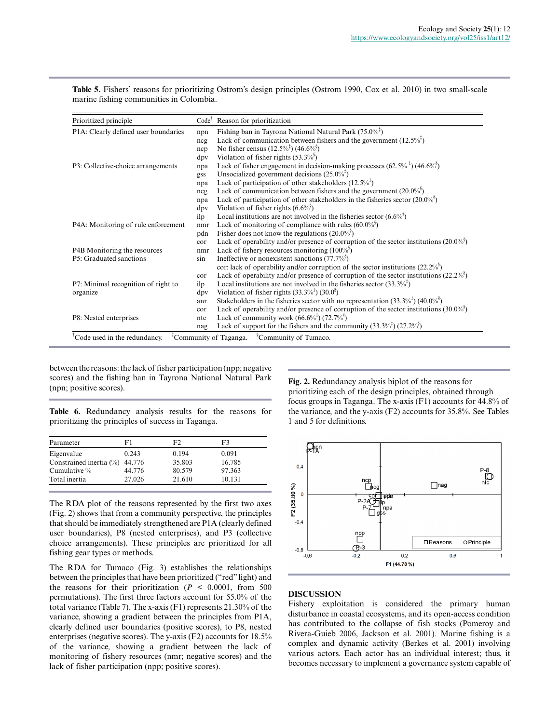Prioritized principle Code<sup>†</sup> Reason for prioritization npn Fishing ban in Tayrona National Natural Park (75.0%<sup>†</sup>) ncg Lack of communication between fishers and the government  $(12.5\%)^{\dagger}$ ncp No fisher census  $(12.5\%^{1})$   $(46.6\%^{8})$ dpv Violation of fisher rights (53.3%§ ) P1A: Clearly defined user boundaries npa Lack of fisher engagement in decision-making processes  $(62.5\%$ <sup> $\frac{1}{6})$ </sup>  $(46.6\%$ <sup>§</sup> gss Unsocialized government decisions  $(25.0\%^{*})$ npa Lack of participation of other stakeholders  $(12.5\%^{*})$ ncg Lack of communication between fishers and the government  $(20.0\%)^{\S}$ npa Lack of participation of other stakeholders in the fisheries sector  $(20.0\%)^{\S}$ dpv Violation of fisher rights  $(6.6\%)^{\S}$ ilp Local institutions are not involved in the fisheries sector  $(6.6\%)^{\S}$ P3: Collective-choice arrangements nmr Lack of monitoring of compliance with rules  $(60.0\%)^{\S}$ pdn Fisher does not know the regulations  $(20.0\%)^{\S}$ cor Lack of operability and/or presence of corruption of the sector institutions  $(20.0\%)$ P4A: Monitoring of rule enforcement P4B Monitoring the resources nmr Lack of fishery resources monitoring  $(100\%)$ sin Ineffective or nonexistent sanctions  $(77.7\%)^{\S}$ cor: lack of operability and/or corruption of the sector institutions  $(22.2\%)^{\S}$ cor Lack of operability and/or presence of corruption of the sector institutions (22.2%<sup>§</sup>) P5: Graduated sanctions ilp Local institutions are not involved in the fisheries sector  $(33.3\%^{1})$ dpv Violation of fisher rights  $(33.3\%^{1/3})(30.0^{\circ})$ anr Stakeholders in the fisheries sector with no representation  $(33.3\%^{\ddagger})$   $(40.0\%^{\circ})$ cor Lack of operability and/or presence of corruption of the sector institutions  $(30.0\%)^{\S}$ P7: Minimal recognition of right to organize ntc Lack of community work  $(66.6\%^{\frac{1}{6}})(72.7\%^{\frac{8}{3}})$ nag Lack of support for the fishers and the community  $(33.3\%^{*})$   $(27.2\%^{*})$ P8: Nested enterprises <sup>†</sup>Code used in the redundancy.  $\vec{C}$  <sup>‡</sup>Community of Taganga.  $\vec{C}$  <sup>§</sup>Community of Tumaco.

**Table 5.** Fishers' reasons for prioritizing Ostrom's design principles (Ostrom 1990, Cox et al. 2010) in two small-scale marine fishing communities in Colombia.

between the reasons: the lack of fisher participation (npp; negative scores) and the fishing ban in Tayrona National Natural Park (npn; positive scores).

**Table 6.** Redundancy analysis results for the reasons for prioritizing the principles of success in Taganga.

| Parameter                  | F1     | F2     | F3     |
|----------------------------|--------|--------|--------|
| Eigenvalue                 | 0.243  | 0.194  | 0.091  |
| Constrained inertia $(\%)$ | 44.776 | 35.803 | 16.785 |
| Cumulative $\%$            | 44.776 | 80.579 | 97.363 |
| Total inertia              | 27.026 | 21.610 | 10.131 |

The RDA plot of the reasons represented by the first two axes (Fig. 2) shows that from a community perspective, the principles that should be immediately strengthened are P1A (clearly defined user boundaries), P8 (nested enterprises), and P3 (collective choice arrangements). These principles are prioritized for all fishing gear types or methods.

The RDA for Tumaco (Fig. 3) establishes the relationships between the principles that have been prioritized ("red" light) and the reasons for their prioritization ( $P < 0.0001$ , from 500) permutations). The first three factors account for 55.0% of the total variance (Table 7). The x-axis (F1) represents 21.30% of the variance, showing a gradient between the principles from P1A, clearly defined user boundaries (positive scores), to P8, nested enterprises (negative scores). The y-axis (F2) accounts for 18.5% of the variance, showing a gradient between the lack of monitoring of fishery resources (nmr; negative scores) and the lack of fisher participation (npp; positive scores).

**Fig. 2.** Redundancy analysis biplot of the reasons for prioritizing each of the design principles, obtained through focus groups in Taganga. The x-axis (F1) accounts for 44.8% of the variance, and the y-axis (F2) accounts for 35.8%. See Tables 1 and 5 for definitions.



# **DISCUSSION**

Fishery exploitation is considered the primary human disturbance in coastal ecosystems, and its open-access condition has contributed to the collapse of fish stocks (Pomeroy and Rivera-Guieb 2006, Jackson et al. 2001). Marine fishing is a complex and dynamic activity (Berkes et al. 2001) involving various actors. Each actor has an individual interest; thus, it becomes necessary to implement a governance system capable of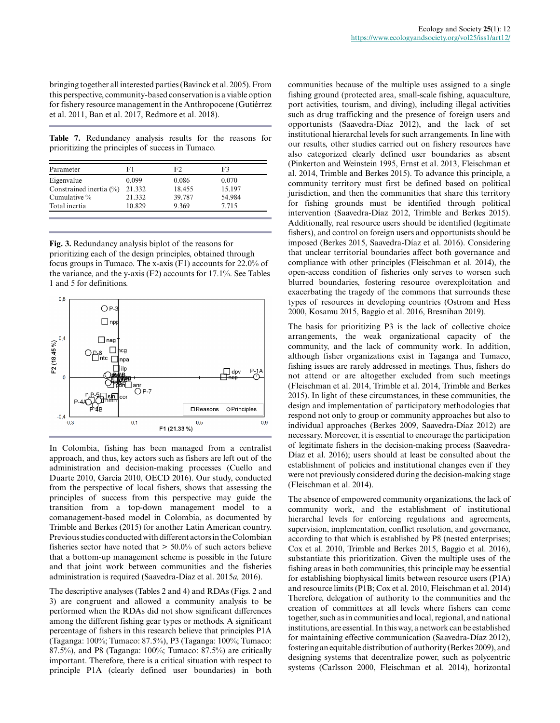bringing together all interested parties (Bavinck et al. 2005). From this perspective, community-based conservation is a viable option for fishery resource management in the Anthropocene (Gutiérrez et al. 2011, Ban et al. 2017, Redmore et al. 2018).

**Table 7.** Redundancy analysis results for the reasons for prioritizing the principles of success in Tumaco.

| Parameter               | F1     | F2     | F3     |
|-------------------------|--------|--------|--------|
| Eigenvalue              | 0.099  | 0.086  | 0.070  |
| Constrained inertia (%) | 21.332 | 18.455 | 15.197 |
| Cumulative $\%$         | 21.332 | 39.787 | 54.984 |
| Total inertia           | 10.829 | 9.369  | 7.715  |

**Fig. 3.** Redundancy analysis biplot of the reasons for prioritizing each of the design principles, obtained through focus groups in Tumaco. The x-axis (F1) accounts for 22.0% of the variance, and the y-axis (F2) accounts for 17.1%. See Tables 1 and 5 for definitions.



In Colombia, fishing has been managed from a centralist approach, and thus, key actors such as fishers are left out of the administration and decision-making processes (Cuello and Duarte 2010, García 2010, OECD 2016). Our study, conducted from the perspective of local fishers, shows that assessing the principles of success from this perspective may guide the transition from a top-down management model to a comanagement-based model in Colombia, as documented by Trimble and Berkes (2015) for another Latin American country. Previous studies conducted with different actors in the Colombian fisheries sector have noted that  $> 50.0\%$  of such actors believe that a bottom-up management scheme is possible in the future and that joint work between communities and the fisheries administration is required (Saavedra-Díaz et al. 2015*a,* 2016).

The descriptive analyses (Tables 2 and 4) and RDAs (Figs. 2 and 3) are congruent and allowed a community analysis to be performed when the RDAs did not show significant differences among the different fishing gear types or methods. A significant percentage of fishers in this research believe that principles P1A (Taganga: 100%; Tumaco: 87.5%), P3 (Taganga: 100%; Tumaco: 87.5%), and P8 (Taganga: 100%; Tumaco: 87.5%) are critically important. Therefore, there is a critical situation with respect to principle P1A (clearly defined user boundaries) in both communities because of the multiple uses assigned to a single fishing ground (protected area, small-scale fishing, aquaculture, port activities, tourism, and diving), including illegal activities such as drug trafficking and the presence of foreign users and opportunists (Saavedra-Díaz 2012), and the lack of set institutional hierarchal levels for such arrangements. In line with our results, other studies carried out on fishery resources have also categorized clearly defined user boundaries as absent (Pinkerton and Weinstein 1995, Ernst et al. 2013, Fleischman et al. 2014, Trimble and Berkes 2015). To advance this principle, a community territory must first be defined based on political jurisdiction, and then the communities that share this territory for fishing grounds must be identified through political intervention (Saavedra-Díaz 2012, Trimble and Berkes 2015). Additionally, real resource users should be identified (legitimate fishers), and control on foreign users and opportunists should be imposed (Berkes 2015, Saavedra-Díaz et al. 2016). Considering that unclear territorial boundaries affect both governance and compliance with other principles (Fleischman et al. 2014), the open-access condition of fisheries only serves to worsen such blurred boundaries, fostering resource overexploitation and exacerbating the tragedy of the commons that surrounds these types of resources in developing countries (Ostrom and Hess 2000, Kosamu 2015, Baggio et al. 2016, Bresnihan 2019).

The basis for prioritizing P3 is the lack of collective choice arrangements, the weak organizational capacity of the community, and the lack of community work. In addition, although fisher organizations exist in Taganga and Tumaco, fishing issues are rarely addressed in meetings. Thus, fishers do not attend or are altogether excluded from such meetings (Fleischman et al. 2014, Trimble et al. 2014, Trimble and Berkes 2015). In light of these circumstances, in these communities, the design and implementation of participatory methodologies that respond not only to group or community approaches but also to individual approaches (Berkes 2009, Saavedra-Díaz 2012) are necessary. Moreover, it is essential to encourage the participation of legitimate fishers in the decision-making process (Saavedra-Díaz et al. 2016); users should at least be consulted about the establishment of policies and institutional changes even if they were not previously considered during the decision-making stage (Fleischman et al. 2014).

The absence of empowered community organizations, the lack of community work, and the establishment of institutional hierarchal levels for enforcing regulations and agreements, supervision, implementation, conflict resolution, and governance, according to that which is established by P8 (nested enterprises; Cox et al. 2010, Trimble and Berkes 2015, Baggio et al. 2016), substantiate this prioritization. Given the multiple uses of the fishing areas in both communities, this principle may be essential for establishing biophysical limits between resource users (P1A) and resource limits (P1B; Cox et al. 2010, Fleischman et al. 2014) Therefore, delegation of authority to the communities and the creation of committees at all levels where fishers can come together, such as in communities and local, regional, and national institutions, are essential. In this way, a network can be established for maintaining effective communication (Saavedra-Díaz 2012), fostering an equitable distribution of authority (Berkes 2009), and designing systems that decentralize power, such as polycentric systems (Carlsson 2000, Fleischman et al. 2014), horizontal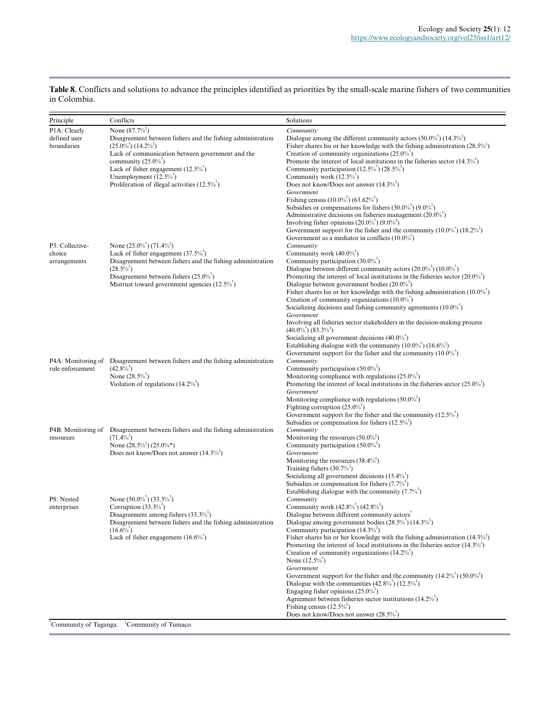| Principle                                  | Conflicts                                                                                                                                                                                                                                                                                                                                        | Solutions                                                                                                                                                                                                                                                                                                                                                                                                                                                                                                                                                                                                                                                                                                                                                                                                                                                                                                         |
|--------------------------------------------|--------------------------------------------------------------------------------------------------------------------------------------------------------------------------------------------------------------------------------------------------------------------------------------------------------------------------------------------------|-------------------------------------------------------------------------------------------------------------------------------------------------------------------------------------------------------------------------------------------------------------------------------------------------------------------------------------------------------------------------------------------------------------------------------------------------------------------------------------------------------------------------------------------------------------------------------------------------------------------------------------------------------------------------------------------------------------------------------------------------------------------------------------------------------------------------------------------------------------------------------------------------------------------|
| P1A: Clearly<br>defined user<br>boundaries | None $(87.7\%^*)$<br>Disagreement between fishers and the fishing administration<br>$(25.0\%^{\dagger})$ $(14.2\%^{\dagger})$<br>Lack of communication between government and the<br>community $(25.0\%)$<br>Lack of fisher engagement $(12.5\%^{\dagger})$<br>Unemployment $(12.5\%^\dagger)$<br>Proliferation of illegal activities $(12.5\%)$ | Community<br>Dialogue among the different community actors $(50.0\%^\dagger)(14.3\%^\dagger)$<br>Fisher shares his or her knowledge with the fishing administration $(28.5\%)$<br>Creation of community organizations $(25.0\%)$<br>Promote the interest of local institutions in the fisheries sector $(14.3\%)^3$<br>Community participation $(12.5\%^{\dagger})$ $(28.5\%^{\dagger})$<br>Community work $(12.5\%^{\dagger})$<br>Does not know/Does not answer $(14.3\%)$<br>Government<br>Fishing census $(10.0\%^\dagger)(63.62\%^\dagger)$<br>Subsidies or compensations for fishers $(30.0\%^\dagger)$ $(9.0\%^\dagger)$<br>Administrative decisions on fisheries management $(20.0\%)$<br>Involving fisher opinions $(20.0\%^\dagger)(9.0\%^\dagger)$<br>Government support for the fisher and the community $(10.0\%^{\dagger})$ $(18.2\%^{\dagger})$<br>Government as a mediator in conflicts $(10.0\%)$ |
| P3: Collective-<br>choice<br>arrangements  | None $(25.0\%^\dagger)(71.4\%^\dagger)$<br>Lack of fisher engagement $(37.5\%)$<br>Disagreement between fishers and the fishing administration<br>$(28.5\%^+)$<br>Disagreement between fishers $(25.0\%)$<br>Mistrust toward government agencies (12.5% <sup>†</sup> )                                                                           | Community<br>Community work $(40.0\%^{3})$<br>Community participation $(30.0\%)$<br>Dialogue between different community actors $(20.0\%)$ $(10.0\%)$<br>Promoting the interest of local institutions in the fisheries sector $(20.0\%)$<br>Dialogue between government bodies $(20.0\%)$<br>Fisher shares his or her knowledge with the fishing administration $(10.0\%')$<br>Creation of community organizations $(10.0\%)$<br>Socializing decisions and fishing community agreements $(10.0\%)$<br>Government<br>Involving all fisheries sector stakeholders in the decision-making process<br>$(40.0\%^{\dagger})$ $(83.3\%^{\dagger})$<br>Socializing all government decisions $(40.0\%^\dagger)$<br>Establishing dialogue with the community $(10.0\%^{\dagger})$ $(16.6\%^{\dagger})$<br>Government support for the fisher and the community $(10.0\%)$                                                    |
| rule enforcement                           | P4A: Monitoring of Disagreement between fishers and the fishing administration<br>$(42.8\%^{\ast})$<br>None $(28.5\%^*)$<br>Violation of regulations $(14.2\%)$                                                                                                                                                                                  | Community<br>Community participation $(50.0\%^{\ddagger})$<br>Monitoring compliance with regulations $(25.0\%)$<br>Promoting the interest of local institutions in the fisheries sector $(25.0\%)$<br>Government<br>Monitoring compliance with regulations $(50.0\%)$<br>Fighting corruption $(25.0\%)$<br>Government support for the fisher and the community $(12.5\%)$<br>Subsidies or compensation for fishers $(12.5\%)$                                                                                                                                                                                                                                                                                                                                                                                                                                                                                     |
| P4B: Monitoring of<br>resources            | Disagreement between fishers and the fishing administration<br>$(71.4\%^{\dagger})$<br>None $(28.5\%^{\ddagger})$ $(25.0\%^{\ast})$<br>Does not know/Does not answer $(14.3\%)$                                                                                                                                                                  | Community<br>Monitoring the resources $(50.0\%^3)$<br>Community participation $(50.0\%)$<br>Government<br>Monitoring the resources $(38.4\%^{\ddagger})$<br>Training fishers $(30.7\%)$<br>Socializing all government decisions $(15.4\%)$<br>Subsidies or compensation for fishers $(7.7\%)^*$<br>Establishing dialogue with the community $(7.7\%)$                                                                                                                                                                                                                                                                                                                                                                                                                                                                                                                                                             |
| P8: Nested<br>enterprises                  | None $(50.0\%^\dagger)(33.3\%^\dagger)$<br>Corruption $(33.3\%^3)$<br>Disagreement among fishers $(33.3\%^{\ddagger})$<br>Disagreement between fishers and the fishing administration<br>$(16.6\%^{\dagger})$<br>Lack of fisher engagement $(16.6\%^{\dagger})$                                                                                  | Community<br>Community work $(42.8\%^{\dagger})$ $(42.8\%^{\dagger})$<br>Dialogue between different community actors <sup>†</sup><br>Dialogue among government bodies $(28.5\%^{\dagger})$ $(14.3\%^{\dagger})$<br>Community participation $(14.3\%^{T})$<br>Fisher shares his or her knowledge with the fishing administration $(14.3\%^{\dagger})$<br>Promoting the interest of local institutions in the fisheries sector $(14.3\%')$<br>Creation of community organizations $(14.2\%)$<br>None $(12.5\%^{\dagger})$<br>Government<br>Government support for the fisher and the community $(14.2\%^{\dagger})$ $(50.0\%^{\dagger})$<br>Dialogue with the communities $(42.8\%^{\dagger})$ $(12.5\%^{\dagger})$<br>Engaging fisher opinions $(25.0\%)$<br>Agreement between fisheries sector institutions $(14.2\%)$<br>Fishing census $(12.5\%^+)$<br>Does not know/Does not answer $(28.5\%^{\dagger})$       |

**Table 8.** Conflicts and solutions to advance the principles identified as priorities by the small-scale marine fishers of two communities in Colombia.

† Community of Taganga. ‡ Community of Tumaco.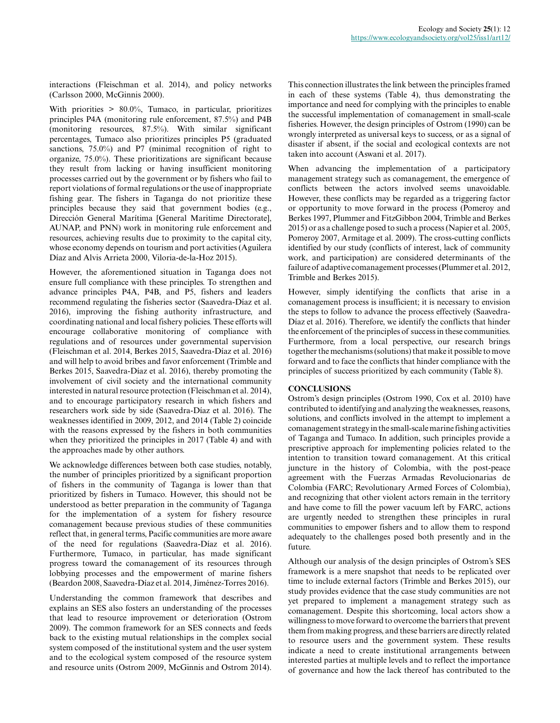interactions (Fleischman et al. 2014), and policy networks (Carlsson 2000, McGinnis 2000).

With priorities > 80.0%, Tumaco, in particular, prioritizes principles P4A (monitoring rule enforcement, 87.5%) and P4B (monitoring resources, 87.5%). With similar significant percentages, Tumaco also prioritizes principles P5 (graduated sanctions, 75.0%) and P7 (minimal recognition of right to organize, 75.0%). These prioritizations are significant because they result from lacking or having insufficient monitoring processes carried out by the government or by fishers who fail to report violations of formal regulations or the use of inappropriate fishing gear. The fishers in Taganga do not prioritize these principles because they said that government bodies (e.g., Dirección General Marítima [General Maritime Directorate], AUNAP, and PNN) work in monitoring rule enforcement and resources, achieving results due to proximity to the capital city, whose economy depends on tourism and port activities (Aguilera Díaz and Alvis Arrieta 2000, Viloria-de-la-Hoz 2015).

However, the aforementioned situation in Taganga does not ensure full compliance with these principles. To strengthen and advance principles P4A, P4B, and P5, fishers and leaders recommend regulating the fisheries sector (Saavedra-Díaz et al. 2016), improving the fishing authority infrastructure, and coordinating national and local fishery policies. These efforts will encourage collaborative monitoring of compliance with regulations and of resources under governmental supervision (Fleischman et al. 2014, Berkes 2015, Saavedra-Díaz et al. 2016) and will help to avoid bribes and favor enforcement (Trimble and Berkes 2015, Saavedra-Díaz et al. 2016), thereby promoting the involvement of civil society and the international community interested in natural resource protection (Fleischman et al. 2014), and to encourage participatory research in which fishers and researchers work side by side (Saavedra-Díaz et al. 2016). The weaknesses identified in 2009, 2012, and 2014 (Table 2) coincide with the reasons expressed by the fishers in both communities when they prioritized the principles in 2017 (Table 4) and with the approaches made by other authors.

We acknowledge differences between both case studies, notably, the number of principles prioritized by a significant proportion of fishers in the community of Taganga is lower than that prioritized by fishers in Tumaco. However, this should not be understood as better preparation in the community of Taganga for the implementation of a system for fishery resource comanagement because previous studies of these communities reflect that, in general terms, Pacific communities are more aware of the need for regulations (Saavedra-Díaz et al. 2016). Furthermore, Tumaco, in particular, has made significant progress toward the comanagement of its resources through lobbying processes and the empowerment of marine fishers (Beardon 2008, Saavedra-Díaz et al. 2014, Jiménez-Torres 2016).

Understanding the common framework that describes and explains an SES also fosters an understanding of the processes that lead to resource improvement or deterioration (Ostrom 2009). The common framework for an SES connects and feeds back to the existing mutual relationships in the complex social system composed of the institutional system and the user system and to the ecological system composed of the resource system and resource units (Ostrom 2009, McGinnis and Ostrom 2014). This connection illustrates the link between the principles framed in each of these systems (Table 4), thus demonstrating the importance and need for complying with the principles to enable the successful implementation of comanagement in small-scale fisheries. However, the design principles of Ostrom (1990) can be wrongly interpreted as universal keys to success, or as a signal of disaster if absent, if the social and ecological contexts are not taken into account (Aswani et al. 2017).

When advancing the implementation of a participatory management strategy such as comanagement, the emergence of conflicts between the actors involved seems unavoidable. However, these conflicts may be regarded as a triggering factor or opportunity to move forward in the process (Pomeroy and Berkes 1997, Plummer and FitzGibbon 2004, Trimble and Berkes 2015) or as a challenge posed to such a process (Napier et al. 2005, Pomeroy 2007, Armitage et al. 2009). The cross-cutting conflicts identified by our study (conflicts of interest, lack of community work, and participation) are considered determinants of the failure of adaptive comanagement processes (Plummer et al. 2012, Trimble and Berkes 2015).

However, simply identifying the conflicts that arise in a comanagement process is insufficient; it is necessary to envision the steps to follow to advance the process effectively (Saavedra-Díaz et al. 2016). Therefore, we identify the conflicts that hinder the enforcement of the principles of success in these communities. Furthermore, from a local perspective, our research brings together the mechanisms (solutions) that make it possible to move forward and to face the conflicts that hinder compliance with the principles of success prioritized by each community (Table 8).

# **CONCLUSIONS**

Ostrom's design principles (Ostrom 1990, Cox et al. 2010) have contributed to identifying and analyzing the weaknesses, reasons, solutions, and conflicts involved in the attempt to implement a comanagement strategy in the small-scale marine fishing activities of Taganga and Tumaco. In addition, such principles provide a prescriptive approach for implementing policies related to the intention to transition toward comanagement. At this critical juncture in the history of Colombia, with the post-peace agreement with the Fuerzas Armadas Revolucionarias de Colombia (FARC; Revolutionary Armed Forces of Colombia), and recognizing that other violent actors remain in the territory and have come to fill the power vacuum left by FARC, actions are urgently needed to strengthen these principles in rural communities to empower fishers and to allow them to respond adequately to the challenges posed both presently and in the future.

Although our analysis of the design principles of Ostrom's SES framework is a mere snapshot that needs to be replicated over time to include external factors (Trimble and Berkes 2015), our study provides evidence that the case study communities are not yet prepared to implement a management strategy such as comanagement. Despite this shortcoming, local actors show a willingness to move forward to overcome the barriers that prevent them from making progress, and these barriers are directly related to resource users and the government system. These results indicate a need to create institutional arrangements between interested parties at multiple levels and to reflect the importance of governance and how the lack thereof has contributed to the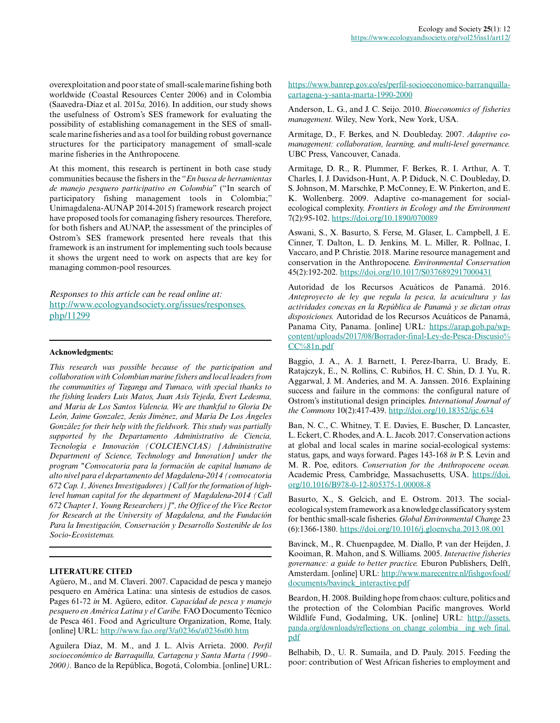overexploitation and poor state of small-scale marine fishing both worldwide (Coastal Resources Center 2006) and in Colombia (Saavedra-Díaz et al. 2015*a,* 2016). In addition, our study shows the usefulness of Ostrom's SES framework for evaluating the possibility of establishing comanagement in the SES of smallscale marine fisheries and as a tool for building robust governance structures for the participatory management of small-scale marine fisheries in the Anthropocene.

At this moment, this research is pertinent in both case study communities because the fishers in the "*En busca de herramientas de manejo pesquero participativo en Colombia*" ("In search of participatory fishing management tools in Colombia;" Unimagdalena-AUNAP 2014-2015) framework research project have proposed tools for comanaging fishery resources. Therefore, for both fishers and AUNAP, the assessment of the principles of Ostrom's SES framework presented here reveals that this framework is an instrument for implementing such tools because it shows the urgent need to work on aspects that are key for managing common-pool resources.

*Responses to this article can be read online at:* [http://www.ecologyandsociety.org/issues/responses.](http://www.ecologyandsociety.org/issues/responses.php/11299) [php/11299](http://www.ecologyandsociety.org/issues/responses.php/11299)

#### **Acknowledgments:**

*This research was possible because of the participation and collaboration with Colombian marine fishers and local leaders from the communities of Taganga and Tumaco, with special thanks to the fishing leaders Luis Matos, Juan Asís Tejeda, Evert Ledesma, and Maria de Los Santos Valencia. We are thankful to Gloria De León, Jaime Gonzalez, Jesús Jiménez, and María De Los Ángeles González for their help with the fieldwork. This study was partially supported by the Departamento Administrativo de Ciencia, Tecnología e Innovación (COLCIENCIAS) [Administrative Department of Science, Technology and Innovation] under the program "Convocatoria para la formación de capital humano de alto nivel para el departamento del Magdalena-2014 (convocatoria 672 Cap. 1, Jóvenes Investigadores) [Call for the formation of highlevel human capital for the department of Magdalena-2014 (Call 672 Chapter 1, Young Researchers)]", the Office of the Vice Rector for Research at the University of Magdalena, and the Fundación Para la Investigación, Conservación y Desarrollo Sostenible de los Socio-Ecosistemas.*

#### **LITERATURE CITED**

Agüero, M., and M. Claverí. 2007. Capacidad de pesca y manejo pesquero en América Latina: una síntesis de estudios de casos. Pages 61-72 *in* M. Agüero, editor. *Capacidad de pesca y manejo pesquero en América Latina y el Caribe.* FAO Documento Técnico de Pesca 461. Food and Agriculture Organization, Rome, Italy. [online] URL: <http://www.fao.org/3/a0236s/a0236s00.htm>

Aguilera Díaz, M. M., and J. L. Alvis Arrieta. 2000. *Perfil socioeconómico de Barraquilla, Cartagena y Santa Marta (1990– 2000).* Banco de la República, Bogotá, Colombia. [online] URL: [https://www.banrep.gov.co/es/perfil-socioeconomico-barranquilla](https://www.banrep.gov.co/es/perfil-socioeconomico-barranquilla-cartagena-y-santa-marta-1990-2000)[cartagena-y-santa-marta-1990-2000](https://www.banrep.gov.co/es/perfil-socioeconomico-barranquilla-cartagena-y-santa-marta-1990-2000) 

Anderson, L. G., and J. C. Seijo. 2010. *Bioeconomics of fisheries management.* Wiley, New York, New York, USA.

Armitage, D., F. Berkes, and N. Doubleday. 2007. *Adaptive comanagement: collaboration, learning, and multi-level governance.* UBC Press, Vancouver, Canada.

Armitage, D. R., R. Plummer, F. Berkes, R. I. Arthur, A. T. Charles, I. J. Davidson-Hunt, A. P. Diduck, N. C. Doubleday, D. S. Johnson, M. Marschke, P. McConney, E. W. Pinkerton, and E. K. Wollenberg. 2009. Adaptive co-management for socialecological complexity. *Frontiers in Ecology and the Environment* 7(2):95-102. <https://doi.org/10.1890/070089>

Aswani, S., X. Basurto, S. Ferse, M. Glaser, L. Campbell, J. E. Cinner, T. Dalton, L. D. Jenkins, M. L. Miller, R. Pollnac, I. Vaccaro, and P. Christie. 2018. Marine resource management and conservation in the Anthropocene. *Environmental Conservation* 45(2):192-202. <https://doi.org/10.1017/S0376892917000431>

Autoridad de los Recursos Acuáticos de Panamá. 2016. *Anteproyecto de ley que regula la pesca, la acuicultura y las actividades conexas en la República de Panamá y se dictan otras disposiciones.* Autoridad de los Recursos Acuáticos de Panamá, Panama City, Panama. [online] URL: [https://arap.gob.pa/wp](https://arap.gob.pa/wp-content/uploads/2017/08/Borrador-final-Ley-de-Pesca-Discusio%CC%81n.pdf)[content/uploads/2017/08/Borrador-final-Ley-de-Pesca-Discusio%](https://arap.gob.pa/wp-content/uploads/2017/08/Borrador-final-Ley-de-Pesca-Discusio%CC%81n.pdf) [CC%81n.pdf](https://arap.gob.pa/wp-content/uploads/2017/08/Borrador-final-Ley-de-Pesca-Discusio%CC%81n.pdf)

Baggio, J. A., A. J. Barnett, I. Perez-Ibarra, U. Brady, E. Ratajczyk, E., N. Rollins, C. Rubiños, H. C. Shin, D. J. Yu, R. Aggarwal, J. M. Anderies, and M. A. Janssen. 2016. Explaining success and failure in the commons: the configural nature of Ostrom's institutional design principles. *International Journal of the Commons* 10(2):417-439. <http://doi.org/10.18352/ijc.634>

Ban, N. C., C. Whitney, T. E. Davies, E. Buscher, D. Lancaster, L. Eckert, C. Rhodes, and A. L. Jacob. 2017. Conservation actions at global and local scales in marine social-ecological systems: status, gaps, and ways forward. Pages 143-168 *in* P. S. Levin and M. R. Poe, editors. *Conservation for the Anthropocene ocean.* Academic Press, Cambridge, Massachusetts, USA. [https://doi.](https://doi.org/10.1016/B978-0-12-805375-1.00008-8) [org/10.1016/B978-0-12-805375-1.00008-8](https://doi.org/10.1016/B978-0-12-805375-1.00008-8)

Basurto, X., S. Gelcich, and E. Ostrom. 2013. The socialecological system framework as a knowledge classificatory system for benthic small-scale fisheries. *Global Environmental Change* 23 (6):1366-1380. <https://doi.org/10.1016/j.gloenvcha.2013.08.001>

Bavinck, M., R. Chuenpagdee, M. Diallo, P. van der Heijden, J. Kooiman, R. Mahon, and S. Williams. 2005. *Interactive fisheries governance: a guide to better practice.* Eburon Publishers, Delft, Amsterdam. [online] URL: [http://www.marecentre.nl/fishgovfood/](http://www.marecentre.nl/fishgovfood/documents/bavinck_interactive.pdf) [documents/bavinck\\_interactive.pdf](http://www.marecentre.nl/fishgovfood/documents/bavinck_interactive.pdf)

Beardon, H. 2008. Building hope from chaos: culture, politics and the protection of the Colombian Pacific mangroves. World Wildlife Fund, Godalming, UK. [online] URL: [http://assets.](http://assets.panda.org/downloads/reflections_on_change_colombia__ing_web_final.pdf) [panda.org/downloads/reflections\\_on\\_change\\_colombia\\_\\_ing\\_web\\_final.](http://assets.panda.org/downloads/reflections_on_change_colombia__ing_web_final.pdf) [pdf](http://assets.panda.org/downloads/reflections_on_change_colombia__ing_web_final.pdf)

Belhabib, D., U. R. Sumaila, and D. Pauly. 2015. Feeding the poor: contribution of West African fisheries to employment and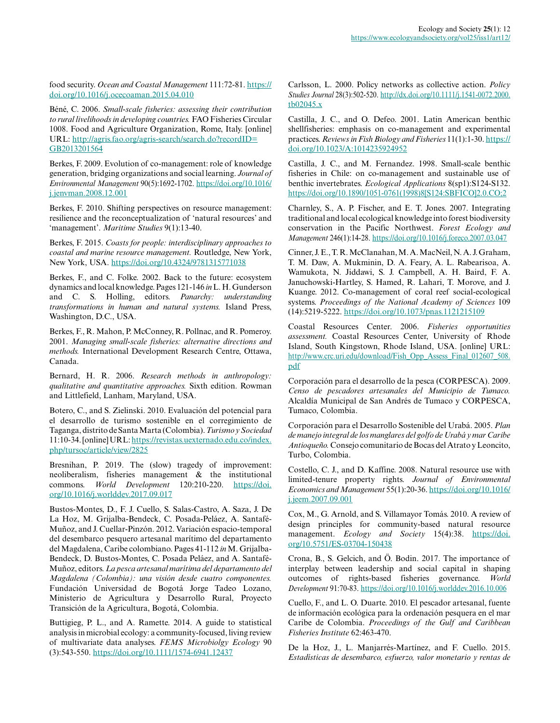food security. *Ocean and Coastal Management* 111:72-81. [https://](https://doi.org/10.1016/j.ocecoaman.2015.04.010) [doi.org/10.1016/j.ocecoaman.2015.04.010](https://doi.org/10.1016/j.ocecoaman.2015.04.010) 

Béné, C. 2006. *Small-scale fisheries: assessing their contribution to rural livelihoods in developing countries.* FAO Fisheries Circular 1008. Food and Agriculture Organization, Rome, Italy. [online] URL: [http://agris.fao.org/agris-search/search.do?recordID=](http://agris.fao.org/agris-search/search.do?recordID=GB2013201564) [GB2013201564](http://agris.fao.org/agris-search/search.do?recordID=GB2013201564)

Berkes, F. 2009. Evolution of co-management: role of knowledge generation, bridging organizations and social learning. *Journal of Environmental Management* 90(5):1692-1702. [https://doi.org/10.1016/](https://doi.org/10.1016/j.jenvman.2008.12.001) [j.jenvman.2008.12.001](https://doi.org/10.1016/j.jenvman.2008.12.001)

Berkes, F. 2010. Shifting perspectives on resource management: resilience and the reconceptualization of 'natural resources' and 'management'. *Maritime Studies* 9(1):13-40.

Berkes, F. 2015. *Coasts for people: interdisciplinary approaches to coastal and marine resource management.* Routledge, New York, New York, USA. <https://doi.org/10.4324/9781315771038>

Berkes, F., and C. Folke. 2002. Back to the future: ecosystem dynamics and local knowledge. Pages 121-146 *in* L. H. Gunderson and C. S. Holling, editors. *Panarchy: understanding transformations in human and natural systems.* Island Press, Washington, D.C., USA.

Berkes, F., R. Mahon, P. McConney, R. Pollnac, and R. Pomeroy. 2001. *Managing small-scale fisheries: alternative directions and methods.* International Development Research Centre, Ottawa, Canada.

Bernard, H. R. 2006. *Research methods in anthropology: qualitative and quantitative approaches.* Sixth edition. Rowman and Littlefield, Lanham, Maryland, USA.

Botero, C., and S. Zielinski. 2010. Evaluación del potencial para el desarrollo de turismo sostenible en el corregimiento de Taganga, distrito de Santa Marta (Colombia). *Turismo y Sociedad* 11:10-34. [online] URL: [https://revistas.uexternado.edu.co/index.](https://revistas.uexternado.edu.co/index.php/tursoc/article/view/2825) [php/tursoc/article/view/2825](https://revistas.uexternado.edu.co/index.php/tursoc/article/view/2825) 

Bresnihan, P. 2019. The (slow) tragedy of improvement: neoliberalism, fisheries management & the institutional commons. *World Development* 120:210-220. [https://doi.](https://doi.org/10.1016/j.worlddev.2017.09.017) [org/10.1016/j.worlddev.2017.09.017](https://doi.org/10.1016/j.worlddev.2017.09.017)

Bustos-Montes, D., F. J. Cuello, S. Salas-Castro, A. Saza, J. De La Hoz, M. Grijalba-Bendeck, C. Posada-Peláez, A. Santafé-Muñoz, and J. Cuellar-Pinzón. 2012. Variación espacio-temporal del desembarco pesquero artesanal marítimo del departamento del Magdalena, Caribe colombiano. Pages 41-112 *in* M. Grijalba-Bendeck, D. Bustos-Montes, C. Posada Peláez, and A. Santafé-Muñoz, editors. *La pesca artesanal marítima del departamento del Magdalena (Colombia): una visión desde cuatro componentes.* Fundación Universidad de Bogotá Jorge Tadeo Lozano, Ministerio de Agricultura y Desarrollo Rural, Proyecto Transición de la Agricultura, Bogotá, Colombia.

Buttigieg, P. L., and A. Ramette. 2014. A guide to statistical analysis in microbial ecology: a community-focused, living review of multivariate data analyses. *FEMS Microbiolgy Ecology* 90 (3):543-550. <https://doi.org/10.1111/1574-6941.12437>

Carlsson, L. 2000. Policy networks as collective action. *Policy Studies Journal* 28(3):502-520. [http://dx.doi.org/10.1111/j.1541-0072.2000.](http://dx.doi.org/10.1111/j.1541-0072.2000.tb02045.x) [tb02045.x](http://dx.doi.org/10.1111/j.1541-0072.2000.tb02045.x)

Castilla, J. C., and O. Defeo. 2001. Latin American benthic shellfisheries: emphasis on co-management and experimental practices. *Reviews in Fish Biology and Fisheries* 11(1):1-30. [https://](https://doi.org/10.1023/A:1014235924952) [doi.org/10.1023/A:1014235924952](https://doi.org/10.1023/A:1014235924952) 

Castilla, J. C., and M. Fernandez. 1998. Small-scale benthic fisheries in Chile: on co-management and sustainable use of benthic invertebrates. *Ecological Applications* 8(sp1):S124-S132. [https://doi.org/10.1890/1051-0761\(1998\)8\[S124:SBFICO\]2.0.CO;2](https://doi.org/10.1890/1051-0761(1998)8[S124:SBFICO]2.0.CO;2) 

Charnley, S., A. P. Fischer, and E. T. Jones. 2007. Integrating traditional and local ecological knowledge into forest biodiversity conservation in the Pacific Northwest. *Forest Ecology and Management* 246(1):14-28.<https://doi.org/10.1016/j.foreco.2007.03.047>

Cinner, J. E., T. R. McClanahan, M. A. MacNeil, N. A. J. Graham, T. M. Daw, A. Mukminin, D. A. Feary, A. L. Rabearisoa, A. Wamukota, N. Jiddawi, S. J. Campbell, A. H. Baird, F. A. Januchowski-Hartley, S. Hamed, R. Lahari, T. Morove, and J. Kuange. 2012. Co-management of coral reef social-ecological systems. *Proceedings of the National Academy of Sciences* 109 (14):5219-5222.<https://doi.org/10.1073/pnas.1121215109>

Coastal Resources Center. 2006. *Fisheries opportunities assessment.* Coastal Resources Center, University of Rhode Island, South Kingstown, Rhode Island, USA. [online] URL: [http://www.crc.uri.edu/download/Fish\\_Opp\\_Assess\\_Final\\_012607\\_508.](http://www.crc.uri.edu/download/Fish_Opp_Assess_Final_012607_508.pdf) [pdf](http://www.crc.uri.edu/download/Fish_Opp_Assess_Final_012607_508.pdf)

Corporación para el desarrollo de la pesca (CORPESCA). 2009. *Censo de pescadores artesanales del Municipio de Tumaco.* Alcaldía Municipal de San Andrés de Tumaco y CORPESCA, Tumaco, Colombia.

Corporación para el Desarrollo Sostenible del Urabá. 2005. *Plan de manejo integral de los manglares del golfo de Urabá y mar Caribe Antioqueño.* Consejo comunitario de Bocas del Atrato y Leoncito, Turbo, Colombia.

Costello, C. J., and D. Kaffine. 2008. Natural resource use with limited-tenure property rights. *Journal of Environmental Economics and Management* 55(1):20-36. [https://doi.org/10.1016/](https://doi.org/10.1016/j.jeem.2007.09.001) [j.jeem.2007.09.001](https://doi.org/10.1016/j.jeem.2007.09.001)

Cox, M., G. Arnold, and S. Villamayor Tomás. 2010. A review of design principles for community-based natural resource management. *Ecology and Society* 15(4):38. [https://doi.](https://doi.org/10.5751/ES-03704-150438) [org/10.5751/ES-03704-150438](https://doi.org/10.5751/ES-03704-150438) 

Crona, B., S. Gelcich, and Ö. Bodin. 2017. The importance of interplay between leadership and social capital in shaping outcomes of rights-based fisheries governance. *World Development* 91:70-83.<https://doi.org/10.1016/j.worlddev.2016.10.006>

Cuello, F., and L. O. Duarte. 2010. El pescador artesanal, fuente de información ecológica para la ordenación pesquera en el mar Caribe de Colombia. *Proceedings of the Gulf and Caribbean Fisheries Institute* 62:463-470.

De la Hoz, J., L. Manjarrés-Martínez, and F. Cuello. 2015. *Estadísticas de desembarco, esfuerzo, valor monetario y rentas de*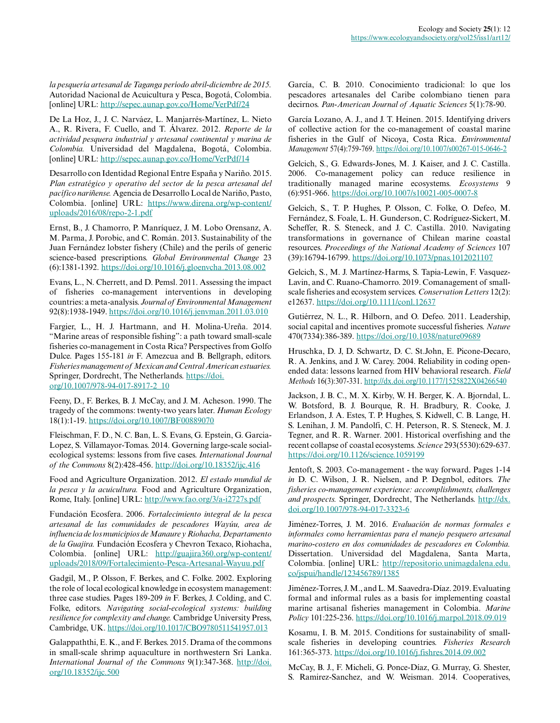*la pesquería artesanal de Taganga período abril-diciembre de 2015.* Autoridad Nacional de Acuicultura y Pesca, Bogotá, Colombia. [online] URL: <http://sepec.aunap.gov.co/Home/VerPdf/24>

De La Hoz, J., J. C. Narváez, L. Manjarrés-Martínez, L. Nieto A., R. Rivera, F. Cuello, and T. Álvarez. 2012. *Reporte de la actividad pesquera industrial y artesanal continental y marina de Colombia.* Universidad del Magdalena, Bogotá, Colombia. [online] URL: <http://sepec.aunap.gov.co/Home/VerPdf/14>

Desarrollo con Identidad Regional Entre España y Nariño. 2015. *Plan estratégico y operativo del sector de la pesca artesanal del pacífico nariñense.* Agencia de Desarrollo Local de Nariño, Pasto, Colombia. [online] URL: [https://www.direna.org/wp-content/](https://www.direna.org/wp-content/uploads/2016/08/repo-2-1.pdf) [uploads/2016/08/repo-2-1.pdf](https://www.direna.org/wp-content/uploads/2016/08/repo-2-1.pdf)

Ernst, B., J. Chamorro, P. Manríquez, J. M. Lobo Orensanz, A. M. Parma, J. Porobic, and C. Román. 2013. Sustainability of the Juan Fernández lobster fishery (Chile) and the perils of generic science-based prescriptions. *Global Environmental Change* 23 (6):1381-1392. <https://doi.org/10.1016/j.gloenvcha.2013.08.002>

Evans, L., N. Cherrett, and D. Pemsl. 2011. Assessing the impact of fisheries co-management interventions in developing countries: a meta-analysis. *Journal of Environmental Management* 92(8):1938-1949.<https://doi.org/10.1016/j.jenvman.2011.03.010>

Fargier, L., H. J. Hartmann, and H. Molina-Ureña. 2014. "Marine areas of responsible fishing": a path toward small-scale fisheries co-management in Costa Rica? Perspectives from Golfo Dulce. Pages 155-181 *in* F. Amezcua and B. Bellgraph, editors. *Fisheries management of Mexican and Central American estuaries.* Springer, Dordrecht, The Netherlands. [https://doi.](https://doi.org/10.1007/978-94-017-8917-2_10) [org/10.1007/978-94-017-8917-2\\_10](https://doi.org/10.1007/978-94-017-8917-2_10)

Feeny, D., F. Berkes, B. J. McCay, and J. M. Acheson. 1990. The tragedy of the commons: twenty-two years later. *Human Ecology* 18(1):1-19.<https://doi.org/10.1007/BF00889070>

Fleischman, F. D., N. C. Ban, L. S. Evans, G. Epstein, G. Garcia-Lopez, S. Villamayor-Tomas. 2014. Governing large-scale socialecological systems: lessons from five cases. *International Journal of the Commons* 8(2):428-456. <http://doi.org/10.18352/ijc.416>

Food and Agriculture Organization. 2012. *El estado mundial de la pesca y la acuicultura.* Food and Agriculture Organization, Rome, Italy. [online] URL: <http://www.fao.org/3/a-i2727s.pdf>

Fundación Ecosfera. 2006. *Fortalecimiento integral de la pesca artesanal de las comunidades de pescadores Wayúu, area de influencia de los municipios de Manaure y Riohacha, Departamento de la Guajira.* Fundación Ecosfera y Chevron Texaco, Riohacha, Colombia. [online] URL: [http://guajira360.org/wp-content/](http://guajira360.org/wp-content/uploads/2018/09/Fortalecimiento-Pesca-Artesanal-Wayuu.pdf) [uploads/2018/09/Fortalecimiento-Pesca-Artesanal-Wayuu.pdf](http://guajira360.org/wp-content/uploads/2018/09/Fortalecimiento-Pesca-Artesanal-Wayuu.pdf)

Gadgil, M., P. Olsson, F. Berkes, and C. Folke. 2002. Exploring the role of local ecological knowledge in ecosystem management: three case studies. Pages 189-209 *in* F. Berkes, J. Colding, and C. Folke, editors. *Navigating social-ecological systems: building resilience for complexity and change.* Cambridge University Press, Cambridge, UK. <https://doi.org/10.1017/CBO9780511541957.013>

Galappaththi, E. K., and F. Berkes. 2015. Drama of the commons in small-scale shrimp aquaculture in northwestern Sri Lanka. *International Journal of the Commons* 9(1):347-368. [http://doi.](http://doi.org/10.18352/ijc.500) [org/10.18352/ijc.500](http://doi.org/10.18352/ijc.500)

García, C. B. 2010. Conocimiento tradicional: lo que los pescadores artesanales del Caribe colombiano tienen para decirnos. *Pan-American Journal of Aquatic Sciences* 5(1):78-90.

García Lozano, A. J., and J. T. Heinen. 2015. Identifying drivers of collective action for the co-management of coastal marine fisheries in the Gulf of Nicoya, Costa Rica. *Environmental Management* 57(4):759-769.<https://doi.org/10.1007/s00267-015-0646-2>

Gelcich, S., G. Edwards-Jones, M. J. Kaiser, and J. C. Castilla. 2006. Co-management policy can reduce resilience in traditionally managed marine ecosystems. *Ecosystems* 9 (6):951-966. <https://doi.org/10.1007/s10021-005-0007-8>

Gelcich, S., T. P. Hughes, P. Olsson, C. Folke, O. Defeo, M. Fernández, S. Foale, L. H. Gunderson, C. Rodríguez-Sickert, M. Scheffer, R. S. Steneck, and J. C. Castilla. 2010. Navigating transformations in governance of Chilean marine coastal resources. *Proceedings of the National Academy of Sciences* 107 (39):16794-16799.<https://doi.org/10.1073/pnas.1012021107>

Gelcich, S., M. J. Martínez-Harms, S. Tapia-Lewin, F. Vasquez-Lavin, and C. Ruano-Chamorro. 2019. Comanagement of smallscale fisheries and ecosystem services. *Conservation Letters* 12(2): e12637.<https://doi.org/10.1111/conl.12637>

Gutiérrez, N. L., R. Hilborn, and O. Defeo. 2011. Leadership, social capital and incentives promote successful fisheries. *Nature* 470(7334):386-389. <https://doi.org/10.1038/nature09689>

Hruschka, D. J, D. Schwartz, D. C. St.John, E. Picone-Decaro, R. A. Jenkins, and J. W. Carey. 2004. Reliability in coding openended data: lessons learned from HIV behavioral research. *Field Methods* 16(3):307-331.<http://dx.doi.org/10.1177/1525822X04266540>

Jackson, J. B. C., M. X. Kirby, W. H. Berger, K. A. Bjorndal, L. W. Botsford, B. J. Bourque, R. H. Bradbury, R. Cooke, J. Erlandson, J. A. Estes, T. P. Hughes, S. Kidwell, C. B. Lange, H. S. Lenihan, J. M. Pandolfi, C. H. Peterson, R. S. Steneck, M. J. Tegner, and R. R. Warner. 2001. Historical overfishing and the recent collapse of coastal ecosystems. *Science* 293(5530):629-637. <https://doi.org/10.1126/science.1059199>

Jentoft, S. 2003. Co-management - the way forward. Pages 1-14 *in* D. C. Wilson, J. R. Nielsen, and P. Degnbol, editors. *The fisheries co-management experience: accomplishments, challenges and prospects.* Springer, Dordrecht, The Netherlands. [http://dx.](http://dx.doi.org/10.1007/978-94-017-3323-6) [doi.org/10.1007/978-94-017-3323-6](http://dx.doi.org/10.1007/978-94-017-3323-6)

Jiménez-Torres, J. M. 2016. *Evaluación de normas formales e informales como herramientas para el manejo pesquero artesanal marino-costero en dos comunidades de pescadores en Colombia.* Dissertation. Universidad del Magdalena, Santa Marta, Colombia. [online] URL: [http://repositorio.unimagdalena.edu.](http://repositorio.unimagdalena.edu.co/jspui/handle/123456789/1385) [co/jspui/handle/123456789/1385](http://repositorio.unimagdalena.edu.co/jspui/handle/123456789/1385) 

Jiménez-Torres, J. M., and L. M. Saavedra-Díaz. 2019. Evaluating formal and informal rules as a basis for implementing coastal marine artisanal fisheries management in Colombia. *Marine Policy* 101:225-236. <https://doi.org/10.1016/j.marpol.2018.09.019>

Kosamu, I. B. M. 2015. Conditions for sustainability of smallscale fisheries in developing countries. *Fisheries Research* 161:365-373. <https://doi.org/10.1016/j.fishres.2014.09.002>

McCay, B. J., F. Micheli, G. Ponce-Díaz, G. Murray, G. Shester, S. Ramirez-Sanchez, and W. Weisman. 2014. Cooperatives,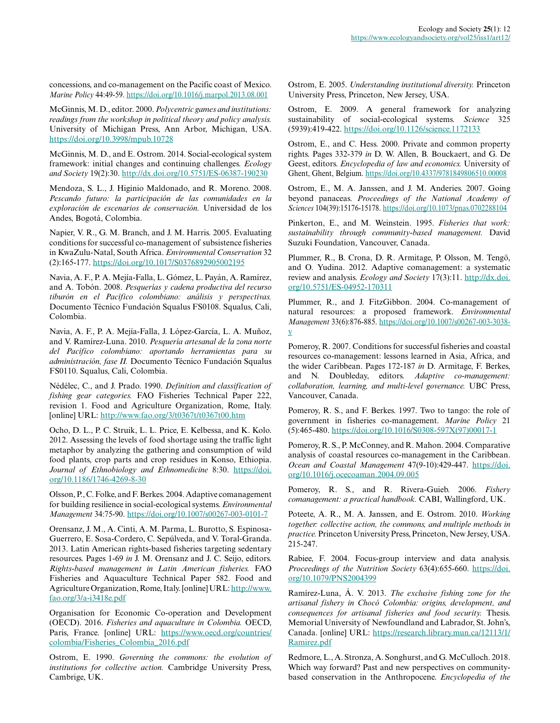concessions, and co-management on the Pacific coast of Mexico. *Marine Policy* 44:49-59.<https://doi.org/10.1016/j.marpol.2013.08.001>

McGinnis, M. D., editor. 2000. *Polycentric games and institutions: readings from the workshop in political theory and policy analysis.* University of Michigan Press, Ann Arbor, Michigan, USA. <https://doi.org/10.3998/mpub.10728>

McGinnis, M. D., and E. Ostrom. 2014. Social-ecological system framework: initial changes and continuing challenges. *Ecology and Society* 19(2):30.<http://dx.doi.org/10.5751/ES-06387-190230>

Mendoza, S. L., J. Higinio Maldonado, and R. Moreno. 2008. *Pescando futuro: la participación de las comunidades en la exploración de escenarios de conservación.* Universidad de los Andes, Bogotá, Colombia.

Napier, V. R., G. M. Branch, and J. M. Harris. 2005. Evaluating conditions for successful co-management of subsistence fisheries in KwaZulu-Natal, South Africa. *Environmental Conservation* 32 (2):165-177. <https://doi.org/10.1017/S0376892905002195>

Navia, A. F., P. A. Mejía-Falla, L. Gómez, L. Payán, A. Ramírez, and A. Tobón. 2008. *Pesquerías y cadena productiva del recurso tiburón en el Pacífico colombiano: análisis y perspectivas.* Documento Técnico Fundación Squalus FS0108. Squalus, Cali, Colombia.

Navia, A. F., P. A. Mejía-Falla, J. López-García, L. A. Muñoz, and V. Ramírez-Luna. 2010. *Pesquería artesanal de la zona norte del Pacífico colombiano: aportando herramientas para su administración, fase II.* Documento Técnico Fundación Squalus FS0110. Squalus, Cali, Colombia.

Nédélec, C., and J. Prado. 1990. *Definition and classification of fishing gear categories.* FAO Fisheries Technical Paper 222, revision 1. Food and Agriculture Organization, Rome, Italy. [online] URL: <http://www.fao.org/3/t0367t/t0367t00.htm>

Ocho, D. L., P. C. Struik, L. L. Price, E. Kelbessa, and K. Kolo. 2012. Assessing the levels of food shortage using the traffic light metaphor by analyzing the gathering and consumption of wild food plants, crop parts and crop residues in Konso, Ethiopia. *Journal of Ethnobiology and Ethnomedicine* 8:30. [https://doi.](https://doi.org/10.1186/1746-4269-8-30) [org/10.1186/1746-4269-8-30](https://doi.org/10.1186/1746-4269-8-30) 

Olsson, P., C. Folke, and F. Berkes. 2004. Adaptive comanagement for building resilience in social-ecological systems. *Environmental Management* 34:75-90. <https://doi.org/10.1007/s00267-003-0101-7>

Orensanz, J. M., A. Cinti, A. M. Parma, L. Burotto, S. Espinosa-Guerrero, E. Sosa-Cordero, C. Sepúlveda, and V. Toral-Granda. 2013. Latin American rights-based fisheries targeting sedentary resources. Pages 1-69 *in* J. M. Orensanz and J. C. Seijo, editors. *Rights-based management in Latin American fisheries.* FAO Fisheries and Aquaculture Technical Paper 582. Food and Agriculture Organization, Rome, Italy. [online] URL: [http://www.](http://www.fao.org/3/a-i3418e.pdf) [fao.org/3/a-i3418e.pdf](http://www.fao.org/3/a-i3418e.pdf)

Organisation for Economic Co-operation and Development (OECD). 2016. *Fisheries and aquaculture in Colombia.* OECD, Paris, France. [online] URL: [https://www.oecd.org/countries/](https://www.oecd.org/countries/colombia/Fisheries_Colombia_2016.pdf) [colombia/Fisheries\\_Colombia\\_2016.pdf](https://www.oecd.org/countries/colombia/Fisheries_Colombia_2016.pdf)

Ostrom, E. 1990. *Governing the commons: the evolution of institutions for collective action.* Cambridge University Press, Cambrige, UK.

Ostrom, E. 2005. *Understanding institutional diversity.* Princeton University Press, Princeton, New Jersey, USA.

Ostrom, E. 2009. A general framework for analyzing sustainability of social-ecological systems. *Science* 325 (5939):419-422.<https://doi.org/10.1126/science.1172133>

Ostrom, E., and C. Hess. 2000. Private and common property rights. Pages 332-379 *in* D. W. Allen, B. Bouckaert, and G. De Geest, editors. *Encyclopedia of law and economics.* University of Ghent, Ghent, Belgium. <https://doi.org/10.4337/9781849806510.00008>

Ostrom, E., M. A. Janssen, and J. M. Anderies. 2007. Going beyond panaceas. *Proceedings of the National Academy of Sciences* 104(39):15176-15178. <https://doi.org/10.1073/pnas.0702288104>

Pinkerton, E., and M. Weinstein. 1995. *Fisheries that work: sustainability through community-based management.* David Suzuki Foundation, Vancouver, Canada.

Plummer, R., B. Crona, D. R. Armitage, P. Olsson, M. Tengö, and O. Yudina. 2012. Adaptive comanagement: a systematic review and analysis. *Ecology and Society* 17(3):11. [http://dx.doi.](http://dx.doi.org/10.5751/ES-04952-170311) [org/10.5751/ES-04952-170311](http://dx.doi.org/10.5751/ES-04952-170311) 

Plummer, R., and J. FitzGibbon. 2004. Co-management of natural resources: a proposed framework. *Environmental Management* 33(6):876-885. [https://doi.org/10.1007/s00267-003-3038](https://doi.org/10.1007/s00267-003-3038-y) [y](https://doi.org/10.1007/s00267-003-3038-y) 

Pomeroy, R. 2007. Conditions for successful fisheries and coastal resources co-management: lessons learned in Asia, Africa, and the wider Caribbean. Pages 172-187 *in* D. Armitage, F. Berkes, and N. Doubleday, editors. *Adaptive co-management: collaboration, learning, and multi-level governance.* UBC Press, Vancouver, Canada.

Pomeroy, R. S., and F. Berkes. 1997. Two to tango: the role of government in fisheries co-management. *Marine Policy* 21 (5):465-480. [https://doi.org/10.1016/S0308-597X\(97\)00017-1](https://doi.org/10.1016/S0308-597X(97)00017-1) 

Pomeroy, R. S., P. McConney, and R. Mahon. 2004. Comparative analysis of coastal resources co-management in the Caribbean. *Ocean and Coastal Management* 47(9-10):429-447. [https://doi.](https://doi.org/10.1016/j.ocecoaman.2004.09.005) [org/10.1016/j.ocecoaman.2004.09.005](https://doi.org/10.1016/j.ocecoaman.2004.09.005)

Pomeroy, R. S., and R. Rivera-Guieb. 2006. *Fishery comanagement: a practical handbook.* CABI, Wallingford, UK.

Poteete, A. R., M. A. Janssen, and E. Ostrom. 2010. *Working together: collective action, the commons, and multiple methods in practice.* Princeton University Press, Princeton, New Jersey, USA. 215-247.

Rabiee, F. 2004. Focus-group interview and data analysis. *Proceedings of the Nutrition Society* 63(4):655-660. [https://doi.](https://doi.org/10.1079/PNS2004399) [org/10.1079/PNS2004399](https://doi.org/10.1079/PNS2004399)

Ramírez-Luna, Á. V. 2013. *The exclusive fishing zone for the artisanal fishery in Chocó Colombia: origins, development, and consequences for artisanal fisheries and food security.* Thesis. Memorial University of Newfoundland and Labrador, St. John's, Canada. [online] URL: [https://research.library.mun.ca/12113/1/](https://research.library.mun.ca/12113/1/Ramirez.pdf) [Ramirez.pdf](https://research.library.mun.ca/12113/1/Ramirez.pdf)

Redmore, L., A. Stronza, A. Songhurst, and G. McCulloch. 2018. Which way forward? Past and new perspectives on communitybased conservation in the Anthropocene. *Encyclopedia of the*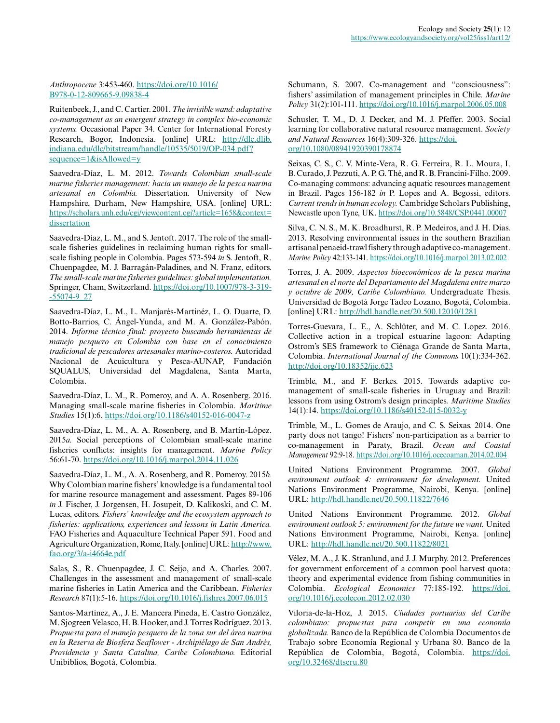# *Anthropocene* 3:453-460. [https://doi.org/10.1016/](https://doi.org/10.1016/B978-0-12-809665-9.09838-4) [B978-0-12-809665-9.09838-4](https://doi.org/10.1016/B978-0-12-809665-9.09838-4)

Ruitenbeek, J., and C. Cartier. 2001. *The invisible wand: adaptative co-management as an emergent strategy in complex bio-economic systems.* Occasional Paper 34. Center for International Foresty Research, Bogor, Indonesia. [online] URL: [http://dlc.dlib.](http://dlc.dlib.indiana.edu/dlc/bitstream/handle/10535/5019/OP-034.pdf?sequence=1&isAllowed=y) [indiana.edu/dlc/bitstream/handle/10535/5019/OP-034.pdf?](http://dlc.dlib.indiana.edu/dlc/bitstream/handle/10535/5019/OP-034.pdf?sequence=1&isAllowed=y) [sequence=1&isAllowed=y](http://dlc.dlib.indiana.edu/dlc/bitstream/handle/10535/5019/OP-034.pdf?sequence=1&isAllowed=y) 

Saavedra-Díaz, L. M. 2012. *Towards Colombian small-scale marine fisheries management: hacia un manejo de la pesca marina artesanal en Colombia.* Dissertation. University of New Hampshire, Durham, New Hampshire, USA. [online] URL: [https://scholars.unh.edu/cgi/viewcontent.cgi?article=1658&context=](https://scholars.unh.edu/cgi/viewcontent.cgi?article=1658&context=dissertation) [dissertation](https://scholars.unh.edu/cgi/viewcontent.cgi?article=1658&context=dissertation)

Saavedra-Díaz, L. M., and S. Jentoft. 2017. The role of the smallscale fisheries guidelines in reclaiming human rights for smallscale fishing people in Colombia. Pages 573-594 *in* S. Jentoft, R. Chuenpagdee, M. J. Barragán-Paladines, and N. Franz, editors. *The small-scale marine fisheries guidelines: global implementation.* Springer, Cham, Switzerland. [https://doi.org/10.1007/978-3-319](https://doi.org/10.1007/978-3-319-55074-9_27) [-55074-9\\_27](https://doi.org/10.1007/978-3-319-55074-9_27)

Saavedra-Díaz, L. M., L. Manjarés-Martinéz, L. O. Duarte, D. Botto-Barrios, C. Ángel-Yunda, and M. A. González-Pabón. 2014. *Informe técnico final: proyecto buscando herramientas de manejo pesquero en Colombia con base en el conocimiento tradicional de pescadores artesanales marino-costeros.* Autoridad Nacional de Acuicultura y Pesca-AUNAP, Fundación SQUALUS, Universidad del Magdalena, Santa Marta, Colombia.

Saavedra-Díaz, L. M., R. Pomeroy, and A. A. Rosenberg. 2016. Managing small-scale marine fisheries in Colombia. *Maritime Studies* 15(1):6. <https://doi.org/10.1186/s40152-016-0047-z>

Saavedra-Díaz, L. M., A. A. Rosenberg, and B. Martín-López. 2015*a.* Social perceptions of Colombian small-scale marine fisheries conflicts: insights for management. *Marine Policy* 56:61-70.<https://doi.org/10.1016/j.marpol.2014.11.026>

Saavedra-Díaz, L. M., A. A. Rosenberg, and R. Pomeroy. 2015*b.* Why Colombian marine fishers' knowledge is a fundamental tool for marine resource management and assessment. Pages 89-106 *in* J. Fischer, J. Jorgensen, H. Josupeit, D. Kalikoski, and C. M. Lucas, editors. *Fishers' knowledge and the ecosystem approach to fisheries: applications, experiences and lessons in Latin America.* FAO Fisheries and Aquaculture Technical Paper 591. Food and Agriculture Organization, Rome, Italy. [online] URL: [http://www.](http://www.fao.org/3/a-i4664e.pdf) [fao.org/3/a-i4664e.pdf](http://www.fao.org/3/a-i4664e.pdf)

Salas, S., R. Chuenpagdee, J. C. Seijo, and A. Charles. 2007. Challenges in the assessment and management of small-scale marine fisheries in Latin America and the Caribbean. *Fisheries Research* 87(1):5-16. <https://doi.org/10.1016/j.fishres.2007.06.015>

Santos-Martínez, A., J. E. Mancera Pineda, E. Castro González, M. Sjogreen Velasco, H. B. Hooker, and J. Torres Rodríguez. 2013. *Propuesta para el manejo pesquero de la zona sur del área marina en la Reserva de Biosfera Seaflower - Archipiélago de San Andrés, Providencia y Santa Catalina, Caribe Colombiano.* Editorial Unibiblios, Bogotá, Colombia.

Schumann, S. 2007. Co-management and "consciousness": fishers' assimilation of management principles in Chile. *Marine Policy* 31(2):101-111. <https://doi.org/10.1016/j.marpol.2006.05.008>

Schusler, T. M., D. J. Decker, and M. J. Pfeffer. 2003. Social learning for collaborative natural resource management. *Society and Natural Resources* 16(4):309-326. [https://doi.](https://doi.org/10.1080/08941920390178874) [org/10.1080/08941920390178874](https://doi.org/10.1080/08941920390178874) 

Seixas, C. S., C. V. Minte-Vera, R. G. Ferreira, R. L. Moura, I. B. Curado, J. Pezzuti, A. P. G. Thé, and R. B. Francini-Filho. 2009. Co-managing commons: advancing aquatic resources management in Brazil. Pages 156-182 *in* P. Lopes and A. Begossi, editors. *Current trends in human ecology.* Cambridge Scholars Publishing, Newcastle upon Tyne, UK. <https://doi.org/10.5848/CSP.0441.00007>

Silva, C. N. S., M. K. Broadhurst, R. P. Medeiros, and J. H. Dias. 2013. Resolving environmental issues in the southern Brazilian artisanal penaeid-trawl fishery through adaptive co-management. *Marine Policy* 42:133-141. <https://doi.org/10.1016/j.marpol.2013.02.002>

Torres, J. A. 2009. *Aspectos bioeconómicos de la pesca marina artesanal en el norte del Departamento del Magdalena entre marzo y octubre de 2009, Caribe Colombiano.* Undergraduate Thesis. Universidad de Bogotá Jorge Tadeo Lozano, Bogotá, Colombia. [online] URL: <http://hdl.handle.net/20.500.12010/1281>

Torres-Guevara, L. E., A. Schlüter, and M. C. Lopez. 2016. Collective action in a tropical estuarine lagoon: Adapting Ostrom's SES framework to Ciénaga Grande de Santa Marta, Colombia. *International Journal of the Commons* 10(1):334-362. <http://doi.org/10.18352/ijc.623>

Trimble, M., and F. Berkes. 2015. Towards adaptive comanagement of small-scale fisheries in Uruguay and Brazil: lessons from using Ostrom's design principles. *Maritime Studies* 14(1):14. <https://doi.org/10.1186/s40152-015-0032-y>

Trimble, M., L. Gomes de Araujo, and C. S. Seixas. 2014. One party does not tango! Fishers' non-participation as a barrier to co-management in Paraty, Brazil. *Ocean and Coastal Management* 92:9-18. <https://doi.org/10.1016/j.ocecoaman.2014.02.004>

United Nations Environment Programme. 2007. *Global environment outlook 4: environment for development.* United Nations Environment Programme, Nairobi, Kenya. [online] URL:<http://hdl.handle.net/20.500.11822/7646>

United Nations Environment Programme. 2012. *Global environment outlook 5: environment for the future we want.* United Nations Environment Programme, Nairobi, Kenya. [online] URL:<http://hdl.handle.net/20.500.11822/8021>

Vélez, M. A., J. K. Stranlund, and J. J. Murphy. 2012. Preferences for government enforcement of a common pool harvest quota: theory and experimental evidence from fishing communities in Colombia. *Ecological Economics* 77:185-192. [https://doi.](https://doi.org/10.1016/j.ecolecon.2012.02.030) [org/10.1016/j.ecolecon.2012.02.030](https://doi.org/10.1016/j.ecolecon.2012.02.030) 

Viloria-de-la-Hoz, J. 2015. *Ciudades portuarias del Caribe colombiano: propuestas para competir en una economía globalizada.* Banco de la República de Colombia Documentos de Trabajo sobre Economía Regional y Urbana 80. Banco de la República de Colombia, Bogotá, Colombia. [https://doi.](https://doi.org/10.32468/dtseru.80) [org/10.32468/dtseru.80](https://doi.org/10.32468/dtseru.80)